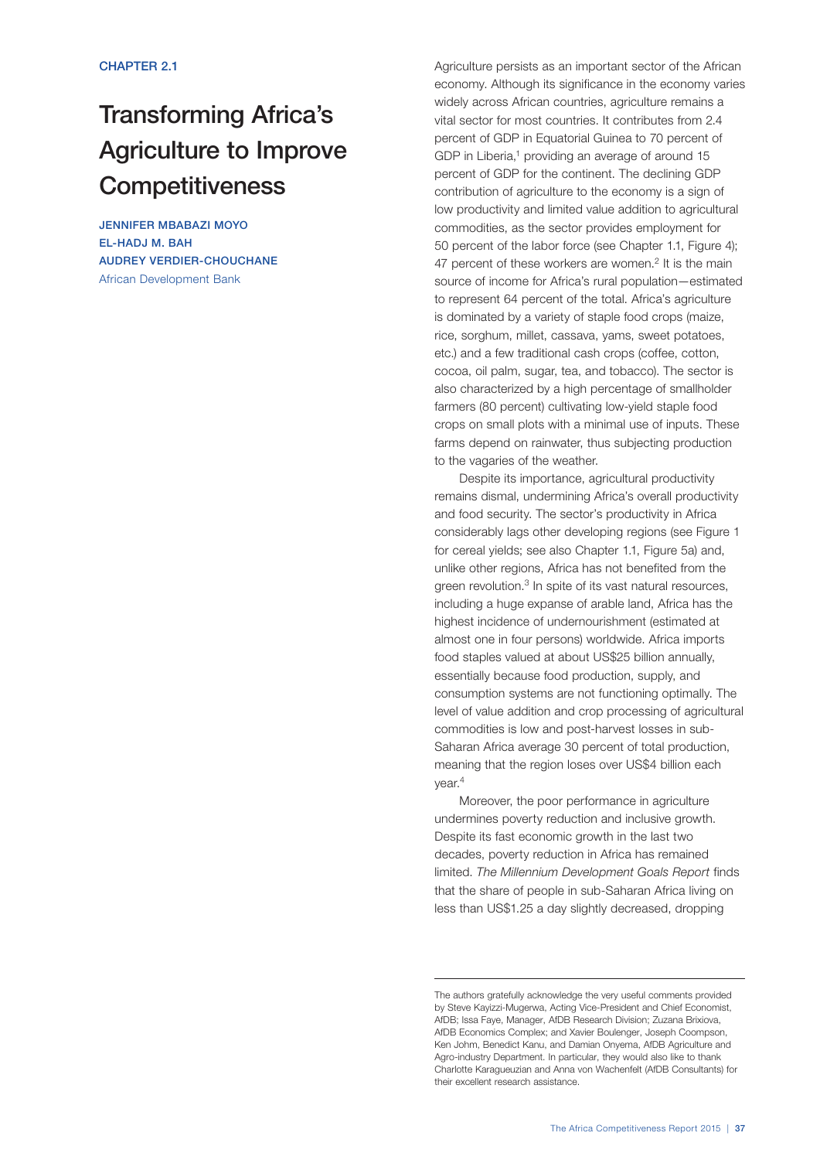# Transforming Africa's Agriculture to Improve **Competitiveness**

JENNIFER MBABAZI MOYO EL-HADJ M. BAH AUDREY VERDIER-CHOUCHANE African Development Bank

Agriculture persists as an important sector of the African economy. Although its significance in the economy varies widely across African countries, agriculture remains a vital sector for most countries. It contributes from 2.4 percent of GDP in Equatorial Guinea to 70 percent of GDP in Liberia, $1$  providing an average of around 15 percent of GDP for the continent. The declining GDP contribution of agriculture to the economy is a sign of low productivity and limited value addition to agricultural commodities, as the sector provides employment for 50 percent of the labor force (see Chapter 1.1, Figure 4); 47 percent of these workers are women.<sup>2</sup> It is the main source of income for Africa's rural population—estimated to represent 64 percent of the total. Africa's agriculture is dominated by a variety of staple food crops (maize, rice, sorghum, millet, cassava, yams, sweet potatoes, etc.) and a few traditional cash crops (coffee, cotton, cocoa, oil palm, sugar, tea, and tobacco). The sector is also characterized by a high percentage of smallholder farmers (80 percent) cultivating low-yield staple food crops on small plots with a minimal use of inputs. These farms depend on rainwater, thus subjecting production to the vagaries of the weather.

Despite its importance, agricultural productivity remains dismal, undermining Africa's overall productivity and food security. The sector's productivity in Africa considerably lags other developing regions (see Figure 1 for cereal yields; see also Chapter 1.1, Figure 5a) and, unlike other regions, Africa has not benefited from the green revolution.<sup>3</sup> In spite of its vast natural resources, including a huge expanse of arable land, Africa has the highest incidence of undernourishment (estimated at almost one in four persons) worldwide. Africa imports food staples valued at about US\$25 billion annually, essentially because food production, supply, and consumption systems are not functioning optimally. The level of value addition and crop processing of agricultural commodities is low and post-harvest losses in sub-Saharan Africa average 30 percent of total production, meaning that the region loses over US\$4 billion each year.4

Moreover, the poor performance in agriculture undermines poverty reduction and inclusive growth. Despite its fast economic growth in the last two decades, poverty reduction in Africa has remained limited. *The Millennium Development Goals Report* finds that the share of people in sub-Saharan Africa living on less than US\$1.25 a day slightly decreased, dropping

The authors gratefully acknowledge the very useful comments provided by Steve Kayizzi-Mugerwa, Acting Vice-President and Chief Economist, AfDB; Issa Faye, Manager, AfDB Research Division; Zuzana Brixiova, AfDB Economics Complex; and Xavier Boulenger, Joseph Coompson, Ken Johm, Benedict Kanu, and Damian Onyema, AfDB Agriculture and Agro-industry Department. In particular, they would also like to thank Charlotte Karagueuzian and Anna von Wachenfelt (AfDB Consultants) for their excellent research assistance.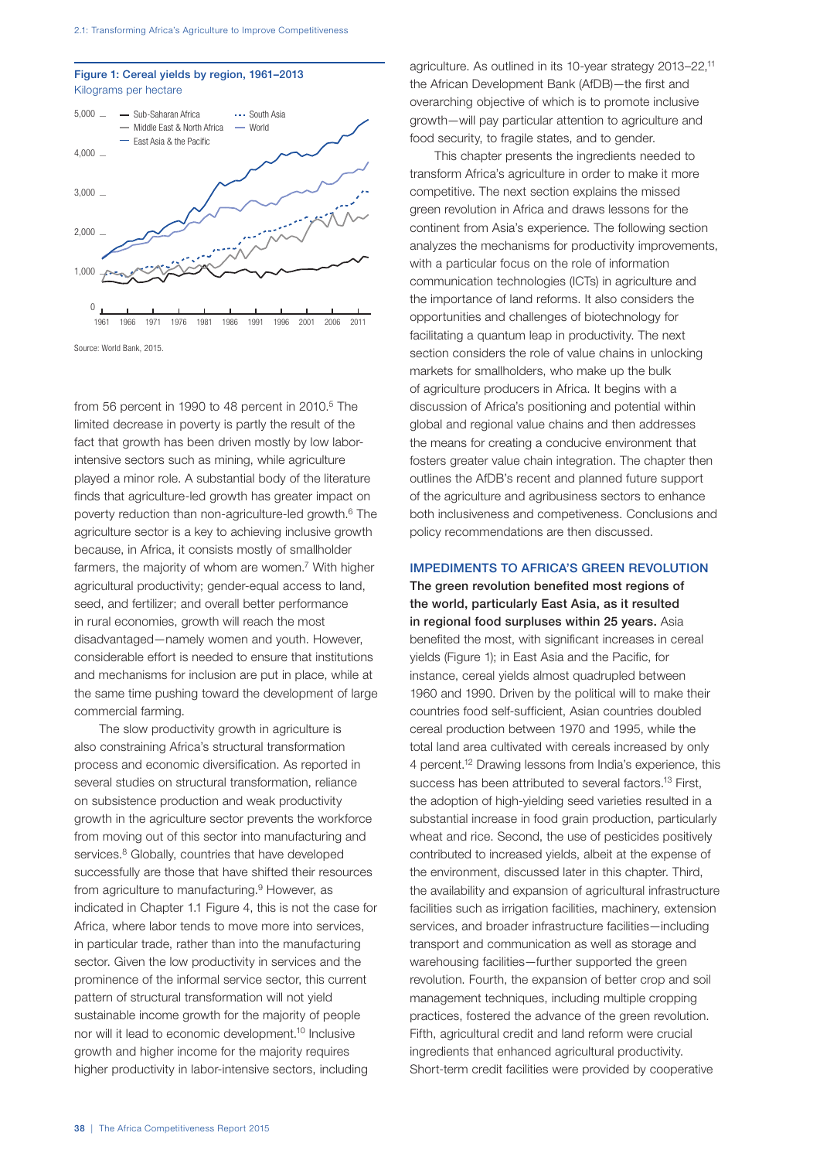



Source: World Bank, 2015.

from 56 percent in 1990 to 48 percent in  $2010<sup>5</sup>$  The limited decrease in poverty is partly the result of the fact that growth has been driven mostly by low laborintensive sectors such as mining, while agriculture played a minor role. A substantial body of the literature finds that agriculture-led growth has greater impact on poverty reduction than non-agriculture-led growth.6 The agriculture sector is a key to achieving inclusive growth because, in Africa, it consists mostly of smallholder farmers, the majority of whom are women.<sup>7</sup> With higher agricultural productivity; gender-equal access to land, seed, and fertilizer; and overall better performance in rural economies, growth will reach the most disadvantaged—namely women and youth. However, considerable effort is needed to ensure that institutions and mechanisms for inclusion are put in place, while at the same time pushing toward the development of large commercial farming.

The slow productivity growth in agriculture is also constraining Africa's structural transformation process and economic diversification. As reported in several studies on structural transformation, reliance on subsistence production and weak productivity growth in the agriculture sector prevents the workforce from moving out of this sector into manufacturing and services.<sup>8</sup> Globally, countries that have developed successfully are those that have shifted their resources from agriculture to manufacturing.<sup>9</sup> However, as indicated in Chapter 1.1 Figure 4, this is not the case for Africa, where labor tends to move more into services, in particular trade, rather than into the manufacturing sector. Given the low productivity in services and the prominence of the informal service sector, this current pattern of structural transformation will not yield sustainable income growth for the majority of people nor will it lead to economic development.10 Inclusive growth and higher income for the majority requires higher productivity in labor-intensive sectors, including

agriculture. As outlined in its 10-year strategy 2013–22,11 the African Development Bank (AfDB)—the first and overarching objective of which is to promote inclusive growth—will pay particular attention to agriculture and food security, to fragile states, and to gender.

This chapter presents the ingredients needed to transform Africa's agriculture in order to make it more competitive. The next section explains the missed green revolution in Africa and draws lessons for the continent from Asia's experience. The following section analyzes the mechanisms for productivity improvements, with a particular focus on the role of information communication technologies (ICTs) in agriculture and the importance of land reforms. It also considers the opportunities and challenges of biotechnology for facilitating a quantum leap in productivity. The next section considers the role of value chains in unlocking markets for smallholders, who make up the bulk of agriculture producers in Africa. It begins with a discussion of Africa's positioning and potential within global and regional value chains and then addresses the means for creating a conducive environment that fosters greater value chain integration. The chapter then outlines the AfDB's recent and planned future support of the agriculture and agribusiness sectors to enhance both inclusiveness and competiveness. Conclusions and policy recommendations are then discussed.

# IMPEDIMENTS TO AFRICA'S GREEN REVOLUTION

The green revolution benefited most regions of the world, particularly East Asia, as it resulted in regional food surpluses within 25 years. Asia benefited the most, with significant increases in cereal yields (Figure 1); in East Asia and the Pacific, for instance, cereal yields almost quadrupled between 1960 and 1990. Driven by the political will to make their countries food self-sufficient, Asian countries doubled cereal production between 1970 and 1995, while the total land area cultivated with cereals increased by only 4 percent.12 Drawing lessons from India's experience, this success has been attributed to several factors.<sup>13</sup> First, the adoption of high-yielding seed varieties resulted in a substantial increase in food grain production, particularly wheat and rice. Second, the use of pesticides positively contributed to increased yields, albeit at the expense of the environment, discussed later in this chapter. Third, the availability and expansion of agricultural infrastructure facilities such as irrigation facilities, machinery, extension services, and broader infrastructure facilities—including transport and communication as well as storage and warehousing facilities—further supported the green revolution. Fourth, the expansion of better crop and soil management techniques, including multiple cropping practices, fostered the advance of the green revolution. Fifth, agricultural credit and land reform were crucial ingredients that enhanced agricultural productivity. Short-term credit facilities were provided by cooperative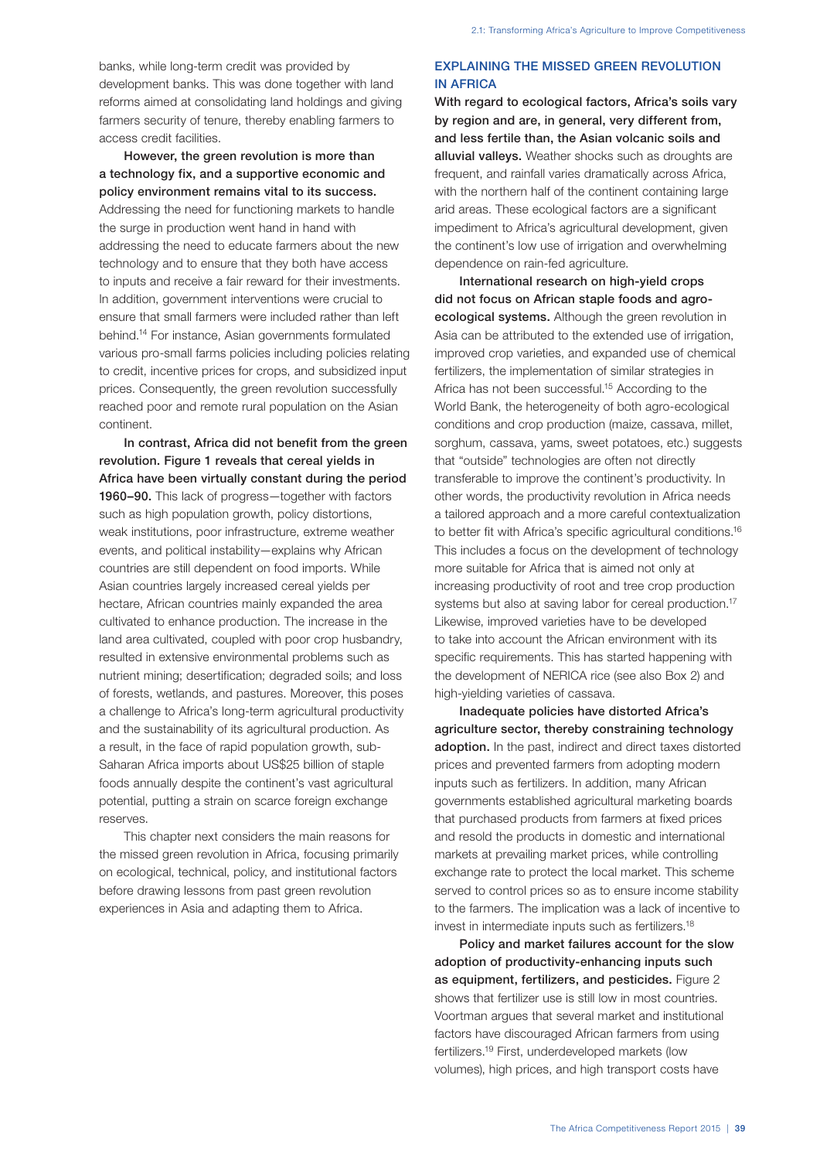banks, while long-term credit was provided by development banks. This was done together with land reforms aimed at consolidating land holdings and giving farmers security of tenure, thereby enabling farmers to access credit facilities.

However, the green revolution is more than a technology fix, and a supportive economic and policy environment remains vital to its success. Addressing the need for functioning markets to handle the surge in production went hand in hand with addressing the need to educate farmers about the new technology and to ensure that they both have access to inputs and receive a fair reward for their investments. In addition, government interventions were crucial to ensure that small farmers were included rather than left behind.14 For instance, Asian governments formulated various pro-small farms policies including policies relating to credit, incentive prices for crops, and subsidized input prices. Consequently, the green revolution successfully reached poor and remote rural population on the Asian continent.

In contrast, Africa did not benefit from the green revolution. Figure 1 reveals that cereal yields in Africa have been virtually constant during the period 1960–90. This lack of progress—together with factors such as high population growth, policy distortions, weak institutions, poor infrastructure, extreme weather events, and political instability—explains why African countries are still dependent on food imports. While Asian countries largely increased cereal yields per hectare, African countries mainly expanded the area cultivated to enhance production. The increase in the land area cultivated, coupled with poor crop husbandry, resulted in extensive environmental problems such as nutrient mining; desertification; degraded soils; and loss of forests, wetlands, and pastures. Moreover, this poses a challenge to Africa's long-term agricultural productivity and the sustainability of its agricultural production. As a result, in the face of rapid population growth, sub-Saharan Africa imports about US\$25 billion of staple foods annually despite the continent's vast agricultural potential, putting a strain on scarce foreign exchange reserves.

This chapter next considers the main reasons for the missed green revolution in Africa, focusing primarily on ecological, technical, policy, and institutional factors before drawing lessons from past green revolution experiences in Asia and adapting them to Africa.

# EXPLAINING THE MISSED GREEN REVOLUTION IN AFRICA

With regard to ecological factors, Africa's soils vary by region and are, in general, very different from, and less fertile than, the Asian volcanic soils and alluvial valleys. Weather shocks such as droughts are frequent, and rainfall varies dramatically across Africa, with the northern half of the continent containing large arid areas. These ecological factors are a significant impediment to Africa's agricultural development, given the continent's low use of irrigation and overwhelming dependence on rain-fed agriculture.

International research on high-yield crops did not focus on African staple foods and agroecological systems. Although the green revolution in Asia can be attributed to the extended use of irrigation, improved crop varieties, and expanded use of chemical fertilizers, the implementation of similar strategies in Africa has not been successful.<sup>15</sup> According to the World Bank, the heterogeneity of both agro-ecological conditions and crop production (maize, cassava, millet, sorghum, cassava, yams, sweet potatoes, etc.) suggests that "outside" technologies are often not directly transferable to improve the continent's productivity. In other words, the productivity revolution in Africa needs a tailored approach and a more careful contextualization to better fit with Africa's specific agricultural conditions.<sup>16</sup> This includes a focus on the development of technology more suitable for Africa that is aimed not only at increasing productivity of root and tree crop production systems but also at saving labor for cereal production.<sup>17</sup> Likewise, improved varieties have to be developed to take into account the African environment with its specific requirements. This has started happening with the development of NERICA rice (see also Box 2) and high-yielding varieties of cassava.

Inadequate policies have distorted Africa's agriculture sector, thereby constraining technology adoption. In the past, indirect and direct taxes distorted prices and prevented farmers from adopting modern inputs such as fertilizers. In addition, many African governments established agricultural marketing boards that purchased products from farmers at fixed prices and resold the products in domestic and international markets at prevailing market prices, while controlling exchange rate to protect the local market. This scheme served to control prices so as to ensure income stability to the farmers. The implication was a lack of incentive to invest in intermediate inputs such as fertilizers.18

Policy and market failures account for the slow adoption of productivity-enhancing inputs such as equipment, fertilizers, and pesticides. Figure 2 shows that fertilizer use is still low in most countries. Voortman argues that several market and institutional factors have discouraged African farmers from using fertilizers.19 First, underdeveloped markets (low volumes), high prices, and high transport costs have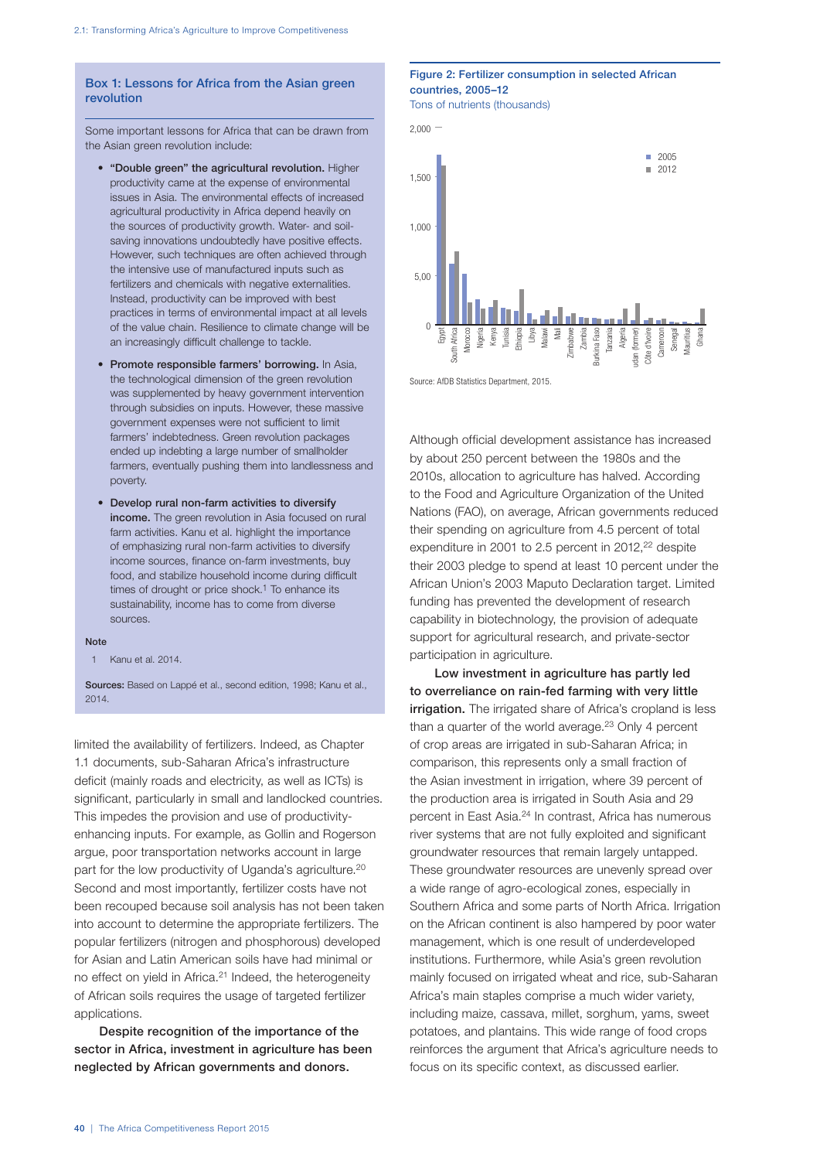## Box 1: Lessons for Africa from the Asian green revolution

Some important lessons for Africa that can be drawn from the Asian green revolution include:

- "Double green" the agricultural revolution. Higher productivity came at the expense of environmental issues in Asia. The environmental effects of increased agricultural productivity in Africa depend heavily on the sources of productivity growth. Water- and soilsaving innovations undoubtedly have positive effects. However, such techniques are often achieved through the intensive use of manufactured inputs such as fertilizers and chemicals with negative externalities. Instead, productivity can be improved with best practices in terms of environmental impact at all levels of the value chain. Resilience to climate change will be an increasingly difficult challenge to tackle.
- Promote responsible farmers' borrowing. In Asia, the technological dimension of the green revolution was supplemented by heavy government intervention through subsidies on inputs. However, these massive government expenses were not sufficient to limit farmers' indebtedness. Green revolution packages ended up indebting a large number of smallholder farmers, eventually pushing them into landlessness and poverty.
- Develop rural non-farm activities to diversify income. The green revolution in Asia focused on rural farm activities. Kanu et al. highlight the importance of emphasizing rural non-farm activities to diversify income sources, finance on-farm investments, buy food, and stabilize household income during difficult times of drought or price shock. $1$  To enhance its sustainability, income has to come from diverse sources.

#### Note

1 Kanu et al. 2014.

Sources: Based on Lappé et al., second edition, 1998; Kanu et al., 2014.

limited the availability of fertilizers. Indeed, as Chapter 1.1 documents, sub-Saharan Africa's infrastructure deficit (mainly roads and electricity, as well as ICTs) is significant, particularly in small and landlocked countries. This impedes the provision and use of productivityenhancing inputs. For example, as Gollin and Rogerson argue, poor transportation networks account in large part for the low productivity of Uganda's agriculture.<sup>20</sup> Second and most importantly, fertilizer costs have not been recouped because soil analysis has not been taken into account to determine the appropriate fertilizers. The popular fertilizers (nitrogen and phosphorous) developed for Asian and Latin American soils have had minimal or no effect on yield in Africa.<sup>21</sup> Indeed, the heterogeneity of African soils requires the usage of targeted fertilizer applications.

Despite recognition of the importance of the sector in Africa, investment in agriculture has been neglected by African governments and donors.

# Figure 2: Fertilizer consumption in selected African countries, 2005–12

Tons of nutrients (thousands)



Source: AfDB Statistics Department, 2015.

Although official development assistance has increased by about 250 percent between the 1980s and the 2010s, allocation to agriculture has halved. According to the Food and Agriculture Organization of the United Nations (FAO), on average, African governments reduced their spending on agriculture from 4.5 percent of total expenditure in 2001 to 2.5 percent in  $2012$ ,  $22$  despite their 2003 pledge to spend at least 10 percent under the African Union's 2003 Maputo Declaration target. Limited funding has prevented the development of research capability in biotechnology, the provision of adequate support for agricultural research, and private-sector participation in agriculture.

Low investment in agriculture has partly led to overreliance on rain-fed farming with very little irrigation. The irrigated share of Africa's cropland is less than a quarter of the world average. $23$  Only 4 percent of crop areas are irrigated in sub-Saharan Africa; in comparison, this represents only a small fraction of the Asian investment in irrigation, where 39 percent of the production area is irrigated in South Asia and 29 percent in East Asia.24 In contrast, Africa has numerous river systems that are not fully exploited and significant groundwater resources that remain largely untapped. These groundwater resources are unevenly spread over a wide range of agro-ecological zones, especially in Southern Africa and some parts of North Africa. Irrigation on the African continent is also hampered by poor water management, which is one result of underdeveloped institutions. Furthermore, while Asia's green revolution mainly focused on irrigated wheat and rice, sub-Saharan Africa's main staples comprise a much wider variety, including maize, cassava, millet, sorghum, yams, sweet potatoes, and plantains. This wide range of food crops reinforces the argument that Africa's agriculture needs to focus on its specific context, as discussed earlier.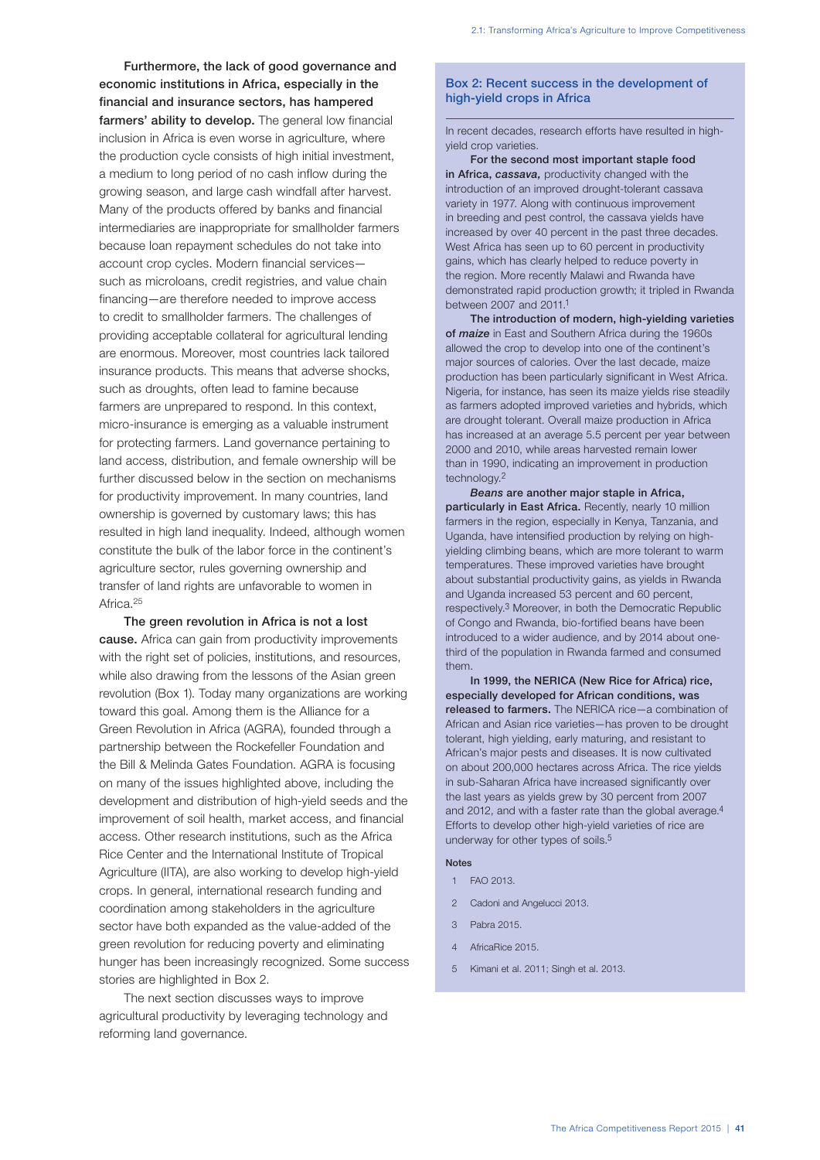Furthermore, the lack of good governance and economic institutions in Africa, especially in the financial and insurance sectors, has hampered farmers' ability to develop. The general low financial inclusion in Africa is even worse in agriculture, where the production cycle consists of high initial investment, a medium to long period of no cash inflow during the growing season, and large cash windfall after harvest. Many of the products offered by banks and financial intermediaries are inappropriate for smallholder farmers because loan repayment schedules do not take into account crop cycles. Modern financial services such as microloans, credit registries, and value chain financing—are therefore needed to improve access to credit to smallholder farmers. The challenges of providing acceptable collateral for agricultural lending are enormous. Moreover, most countries lack tailored insurance products. This means that adverse shocks, such as droughts, often lead to famine because farmers are unprepared to respond. In this context, micro-insurance is emerging as a valuable instrument for protecting farmers. Land governance pertaining to land access, distribution, and female ownership will be further discussed below in the section on mechanisms for productivity improvement. In many countries, land ownership is governed by customary laws; this has resulted in high land inequality. Indeed, although women constitute the bulk of the labor force in the continent's agriculture sector, rules governing ownership and transfer of land rights are unfavorable to women in Africa.<sup>25</sup>

The green revolution in Africa is not a lost cause. Africa can gain from productivity improvements with the right set of policies, institutions, and resources, while also drawing from the lessons of the Asian green revolution (Box 1). Today many organizations are working toward this goal. Among them is the Alliance for a Green Revolution in Africa (AGRA), founded through a partnership between the Rockefeller Foundation and the Bill & Melinda Gates Foundation. AGRA is focusing on many of the issues highlighted above, including the development and distribution of high-yield seeds and the improvement of soil health, market access, and financial access. Other research institutions, such as the Africa Rice Center and the International Institute of Tropical Agriculture (IITA), are also working to develop high-yield crops. In general, international research funding and coordination among stakeholders in the agriculture sector have both expanded as the value-added of the green revolution for reducing poverty and eliminating hunger has been increasingly recognized. Some success stories are highlighted in Box 2.

The next section discusses ways to improve agricultural productivity by leveraging technology and reforming land governance.

# Box 2: Recent success in the development of high-yield crops in Africa

In recent decades, research efforts have resulted in highyield crop varieties.

For the second most important staple food in Africa, *cassava,* productivity changed with the introduction of an improved drought-tolerant cassava variety in 1977. Along with continuous improvement in breeding and pest control, the cassava yields have increased by over 40 percent in the past three decades. West Africa has seen up to 60 percent in productivity gains, which has clearly helped to reduce poverty in the region. More recently Malawi and Rwanda have demonstrated rapid production growth; it tripled in Rwanda between 2007 and 2011.1

The introduction of modern, high-yielding varieties of *maize* in East and Southern Africa during the 1960s allowed the crop to develop into one of the continent's major sources of calories. Over the last decade, maize production has been particularly significant in West Africa. Nigeria, for instance, has seen its maize yields rise steadily as farmers adopted improved varieties and hybrids, which are drought tolerant. Overall maize production in Africa has increased at an average 5.5 percent per year between 2000 and 2010, while areas harvested remain lower than in 1990, indicating an improvement in production technology.2

*Beans* are another major staple in Africa, particularly in East Africa. Recently, nearly 10 million farmers in the region, especially in Kenya, Tanzania, and Uganda, have intensified production by relying on highyielding climbing beans, which are more tolerant to warm temperatures. These improved varieties have brought about substantial productivity gains, as yields in Rwanda and Uganda increased 53 percent and 60 percent, respectively.3 Moreover, in both the Democratic Republic of Congo and Rwanda, bio-fortified beans have been introduced to a wider audience, and by 2014 about onethird of the population in Rwanda farmed and consumed them.

In 1999, the NERICA (New Rice for Africa) rice, especially developed for African conditions, was released to farmers. The NERICA rice—a combination of African and Asian rice varieties—has proven to be drought tolerant, high yielding, early maturing, and resistant to African's major pests and diseases. It is now cultivated on about 200,000 hectares across Africa. The rice yields in sub-Saharan Africa have increased significantly over the last years as yields grew by 30 percent from 2007 and 2012, and with a faster rate than the global average.4 Efforts to develop other high-yield varieties of rice are underway for other types of soils.5

#### Notes

- 1 FAO 2013.
- 2 Cadoni and Angelucci 2013.
- 3 Pabra 2015.
- 4 AfricaRice 2015.
- 5 Kimani et al. 2011; Singh et al. 2013.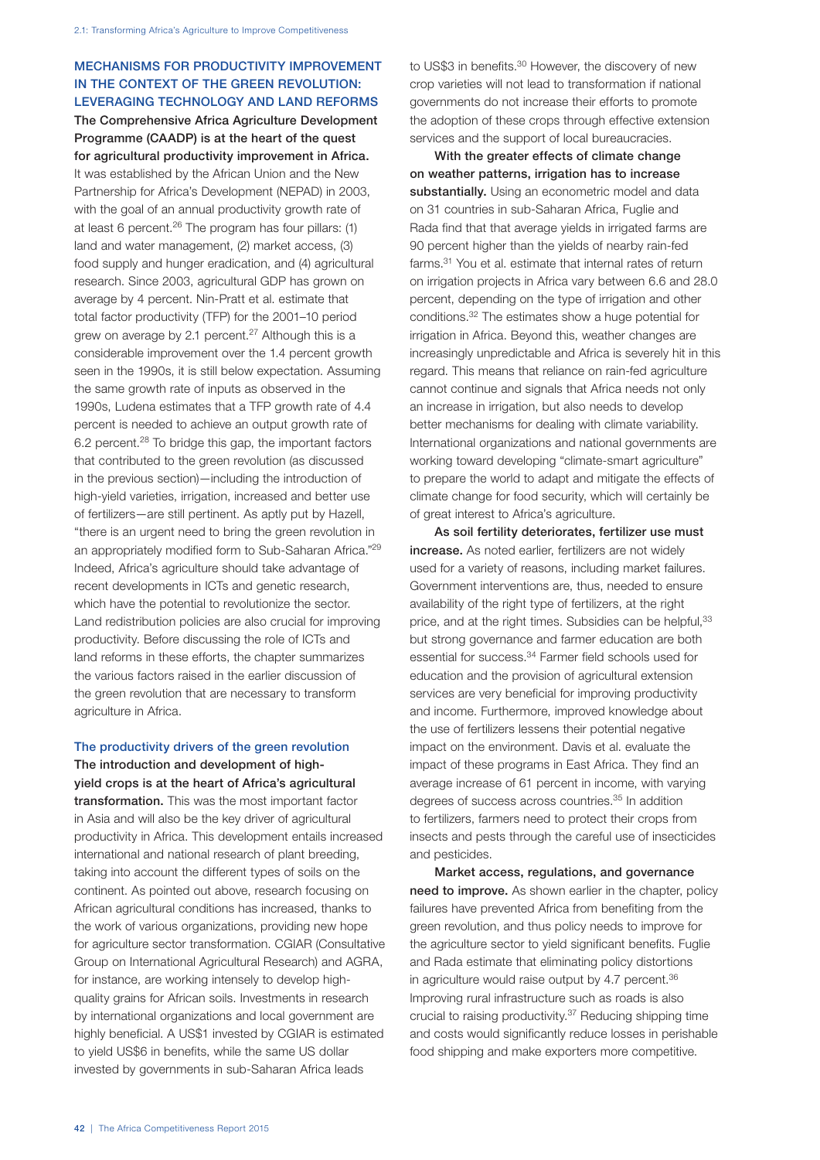# MECHANISMS FOR PRODUCTIVITY IMPROVEMENT IN THE CONTEXT OF THE GREEN REVOLUTION: LEVERAGING TECHNOLOGY AND LAND REFORMS The Comprehensive Africa Agriculture Development

Programme (CAADP) is at the heart of the quest for agricultural productivity improvement in Africa. It was established by the African Union and the New Partnership for Africa's Development (NEPAD) in 2003, with the goal of an annual productivity growth rate of at least 6 percent.26 The program has four pillars: (1) land and water management, (2) market access, (3) food supply and hunger eradication, and (4) agricultural research. Since 2003, agricultural GDP has grown on average by 4 percent. Nin-Pratt et al. estimate that total factor productivity (TFP) for the 2001–10 period grew on average by 2.1 percent.<sup>27</sup> Although this is a considerable improvement over the 1.4 percent growth seen in the 1990s, it is still below expectation. Assuming the same growth rate of inputs as observed in the 1990s, Ludena estimates that a TFP growth rate of 4.4 percent is needed to achieve an output growth rate of 6.2 percent.28 To bridge this gap, the important factors that contributed to the green revolution (as discussed in the previous section)—including the introduction of high-yield varieties, irrigation, increased and better use of fertilizers—are still pertinent. As aptly put by Hazell, "there is an urgent need to bring the green revolution in an appropriately modified form to Sub-Saharan Africa."29 Indeed, Africa's agriculture should take advantage of recent developments in ICTs and genetic research, which have the potential to revolutionize the sector. Land redistribution policies are also crucial for improving productivity. Before discussing the role of ICTs and land reforms in these efforts, the chapter summarizes the various factors raised in the earlier discussion of the green revolution that are necessary to transform agriculture in Africa.

The productivity drivers of the green revolution The introduction and development of highyield crops is at the heart of Africa's agricultural transformation. This was the most important factor in Asia and will also be the key driver of agricultural productivity in Africa. This development entails increased international and national research of plant breeding, taking into account the different types of soils on the continent. As pointed out above, research focusing on African agricultural conditions has increased, thanks to the work of various organizations, providing new hope for agriculture sector transformation. CGIAR (Consultative Group on International Agricultural Research) and AGRA, for instance, are working intensely to develop highquality grains for African soils. Investments in research by international organizations and local government are highly beneficial. A US\$1 invested by CGIAR is estimated to yield US\$6 in benefits, while the same US dollar invested by governments in sub-Saharan Africa leads

to US\$3 in benefits.<sup>30</sup> However, the discovery of new crop varieties will not lead to transformation if national governments do not increase their efforts to promote the adoption of these crops through effective extension services and the support of local bureaucracies.

With the greater effects of climate change on weather patterns, irrigation has to increase substantially. Using an econometric model and data on 31 countries in sub-Saharan Africa, Fuglie and Rada find that that average yields in irrigated farms are 90 percent higher than the yields of nearby rain-fed farms.31 You et al. estimate that internal rates of return on irrigation projects in Africa vary between 6.6 and 28.0 percent, depending on the type of irrigation and other conditions.32 The estimates show a huge potential for irrigation in Africa. Beyond this, weather changes are increasingly unpredictable and Africa is severely hit in this regard. This means that reliance on rain-fed agriculture cannot continue and signals that Africa needs not only an increase in irrigation, but also needs to develop better mechanisms for dealing with climate variability. International organizations and national governments are working toward developing "climate-smart agriculture" to prepare the world to adapt and mitigate the effects of climate change for food security, which will certainly be of great interest to Africa's agriculture.

As soil fertility deteriorates, fertilizer use must increase. As noted earlier, fertilizers are not widely used for a variety of reasons, including market failures. Government interventions are, thus, needed to ensure availability of the right type of fertilizers, at the right price, and at the right times. Subsidies can be helpful, 33 but strong governance and farmer education are both essential for success.34 Farmer field schools used for education and the provision of agricultural extension services are very beneficial for improving productivity and income. Furthermore, improved knowledge about the use of fertilizers lessens their potential negative impact on the environment. Davis et al. evaluate the impact of these programs in East Africa. They find an average increase of 61 percent in income, with varying degrees of success across countries.<sup>35</sup> In addition to fertilizers, farmers need to protect their crops from insects and pests through the careful use of insecticides and pesticides.

Market access, regulations, and governance need to improve. As shown earlier in the chapter, policy failures have prevented Africa from benefiting from the green revolution, and thus policy needs to improve for the agriculture sector to yield significant benefits. Fuglie and Rada estimate that eliminating policy distortions in agriculture would raise output by 4.7 percent.<sup>36</sup> Improving rural infrastructure such as roads is also crucial to raising productivity.37 Reducing shipping time and costs would significantly reduce losses in perishable food shipping and make exporters more competitive.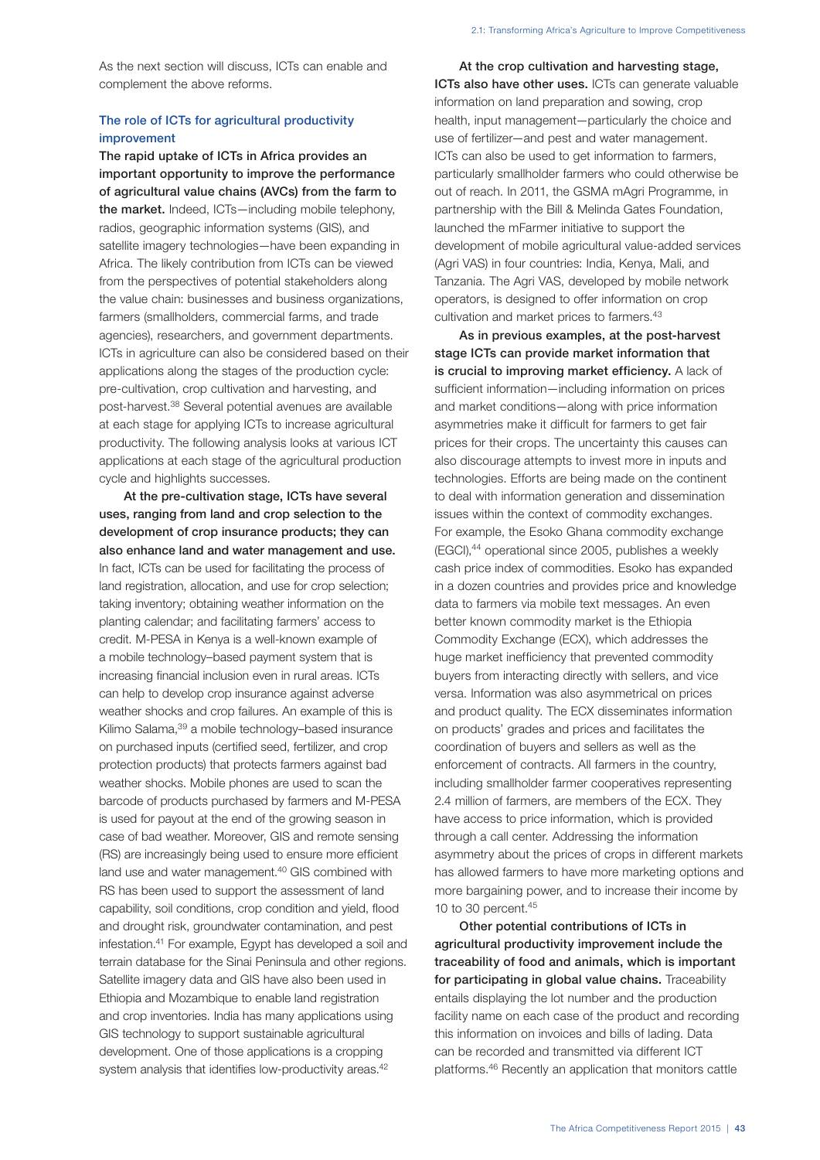As the next section will discuss, ICTs can enable and complement the above reforms.

# The role of ICTs for agricultural productivity improvement

The rapid uptake of ICTs in Africa provides an important opportunity to improve the performance of agricultural value chains (AVCs) from the farm to the market. Indeed, ICTs—including mobile telephony, radios, geographic information systems (GIS), and satellite imagery technologies—have been expanding in Africa. The likely contribution from ICTs can be viewed from the perspectives of potential stakeholders along the value chain: businesses and business organizations, farmers (smallholders, commercial farms, and trade agencies), researchers, and government departments. ICTs in agriculture can also be considered based on their applications along the stages of the production cycle: pre-cultivation, crop cultivation and harvesting, and post-harvest.38 Several potential avenues are available at each stage for applying ICTs to increase agricultural productivity. The following analysis looks at various ICT applications at each stage of the agricultural production cycle and highlights successes.

At the pre-cultivation stage, ICTs have several uses, ranging from land and crop selection to the development of crop insurance products; they can also enhance land and water management and use. In fact, ICTs can be used for facilitating the process of land registration, allocation, and use for crop selection; taking inventory; obtaining weather information on the planting calendar; and facilitating farmers' access to credit. M-PESA in Kenya is a well-known example of a mobile technology–based payment system that is increasing financial inclusion even in rural areas. ICTs can help to develop crop insurance against adverse weather shocks and crop failures. An example of this is Kilimo Salama, 39 a mobile technology-based insurance on purchased inputs (certified seed, fertilizer, and crop protection products) that protects farmers against bad weather shocks. Mobile phones are used to scan the barcode of products purchased by farmers and M-PESA is used for payout at the end of the growing season in case of bad weather. Moreover, GIS and remote sensing (RS) are increasingly being used to ensure more efficient land use and water management.<sup>40</sup> GIS combined with RS has been used to support the assessment of land capability, soil conditions, crop condition and yield, flood and drought risk, groundwater contamination, and pest infestation.41 For example, Egypt has developed a soil and terrain database for the Sinai Peninsula and other regions. Satellite imagery data and GIS have also been used in Ethiopia and Mozambique to enable land registration and crop inventories. India has many applications using GIS technology to support sustainable agricultural development. One of those applications is a cropping system analysis that identifies low-productivity areas.<sup>42</sup>

At the crop cultivation and harvesting stage, ICTs also have other uses. ICTs can generate valuable information on land preparation and sowing, crop health, input management—particularly the choice and use of fertilizer—and pest and water management. ICTs can also be used to get information to farmers, particularly smallholder farmers who could otherwise be out of reach. In 2011, the GSMA mAgri Programme, in partnership with the Bill & Melinda Gates Foundation, launched the mFarmer initiative to support the development of mobile agricultural value-added services (Agri VAS) in four countries: India, Kenya, Mali, and Tanzania. The Agri VAS, developed by mobile network operators, is designed to offer information on crop cultivation and market prices to farmers.<sup>43</sup>

As in previous examples, at the post-harvest stage ICTs can provide market information that is crucial to improving market efficiency. A lack of sufficient information—including information on prices and market conditions—along with price information asymmetries make it difficult for farmers to get fair prices for their crops. The uncertainty this causes can also discourage attempts to invest more in inputs and technologies. Efforts are being made on the continent to deal with information generation and dissemination issues within the context of commodity exchanges. For example, the Esoko Ghana commodity exchange (EGCI),<sup>44</sup> operational since 2005, publishes a weekly cash price index of commodities. Esoko has expanded in a dozen countries and provides price and knowledge data to farmers via mobile text messages. An even better known commodity market is the Ethiopia Commodity Exchange (ECX), which addresses the huge market inefficiency that prevented commodity buyers from interacting directly with sellers, and vice versa. Information was also asymmetrical on prices and product quality. The ECX disseminates information on products' grades and prices and facilitates the coordination of buyers and sellers as well as the enforcement of contracts. All farmers in the country, including smallholder farmer cooperatives representing 2.4 million of farmers, are members of the ECX. They have access to price information, which is provided through a call center. Addressing the information asymmetry about the prices of crops in different markets has allowed farmers to have more marketing options and more bargaining power, and to increase their income by 10 to 30 percent.45

Other potential contributions of ICTs in agricultural productivity improvement include the traceability of food and animals, which is important for participating in global value chains. Traceability entails displaying the lot number and the production facility name on each case of the product and recording this information on invoices and bills of lading. Data can be recorded and transmitted via different ICT platforms.46 Recently an application that monitors cattle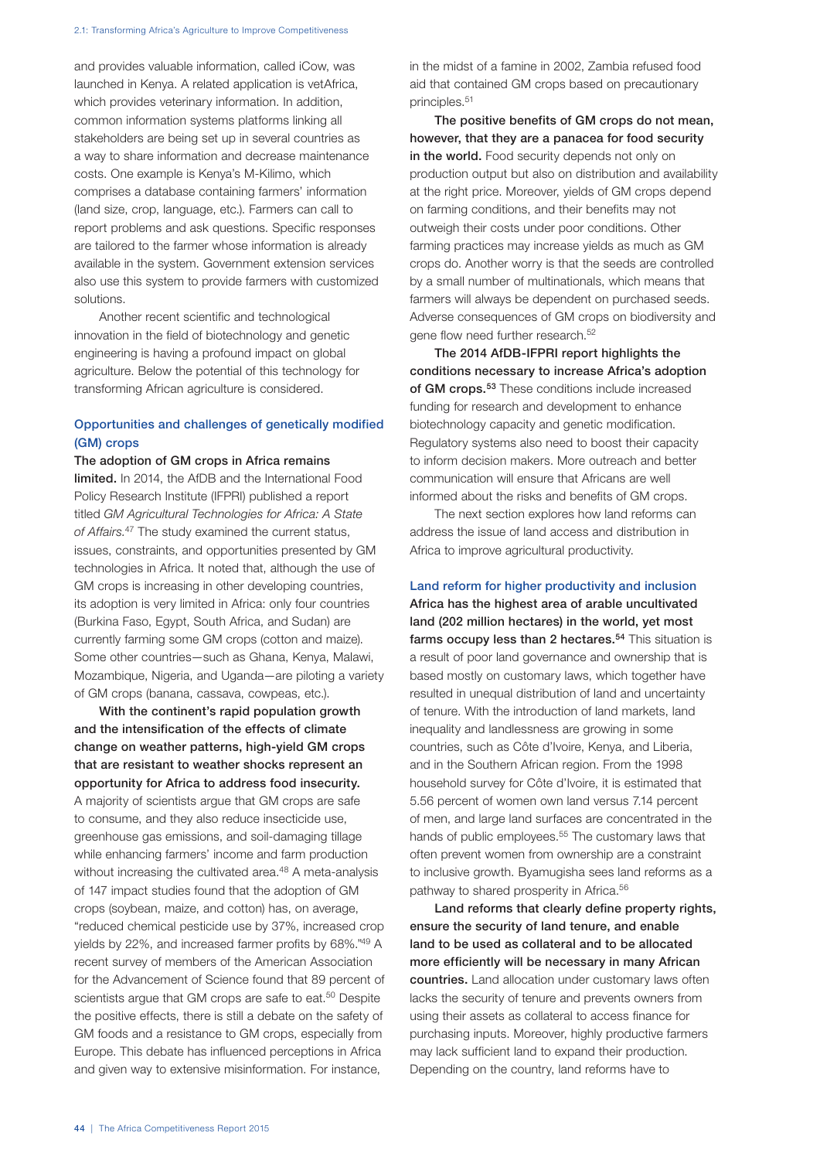and provides valuable information, called iCow, was launched in Kenya. A related application is vetAfrica, which provides veterinary information. In addition, common information systems platforms linking all stakeholders are being set up in several countries as a way to share information and decrease maintenance costs. One example is Kenya's M-Kilimo, which comprises a database containing farmers' information (land size, crop, language, etc.). Farmers can call to report problems and ask questions. Specific responses are tailored to the farmer whose information is already available in the system. Government extension services also use this system to provide farmers with customized solutions.

Another recent scientific and technological innovation in the field of biotechnology and genetic engineering is having a profound impact on global agriculture. Below the potential of this technology for transforming African agriculture is considered.

# Opportunities and challenges of genetically modified (GM) crops

The adoption of GM crops in Africa remains limited. In 2014, the AfDB and the International Food Policy Research Institute (IFPRI) published a report titled *GM Agricultural Technologies for Africa: A State of Affairs.*47 The study examined the current status, issues, constraints, and opportunities presented by GM technologies in Africa. It noted that, although the use of GM crops is increasing in other developing countries, its adoption is very limited in Africa: only four countries (Burkina Faso, Egypt, South Africa, and Sudan) are currently farming some GM crops (cotton and maize). Some other countries—such as Ghana, Kenya, Malawi, Mozambique, Nigeria, and Uganda—are piloting a variety of GM crops (banana, cassava, cowpeas, etc.).

With the continent's rapid population growth and the intensification of the effects of climate change on weather patterns, high-yield GM crops that are resistant to weather shocks represent an opportunity for Africa to address food insecurity. A majority of scientists argue that GM crops are safe to consume, and they also reduce insecticide use, greenhouse gas emissions, and soil-damaging tillage while enhancing farmers' income and farm production without increasing the cultivated area.<sup>48</sup> A meta-analysis of 147 impact studies found that the adoption of GM crops (soybean, maize, and cotton) has, on average, "reduced chemical pesticide use by 37%, increased crop yields by 22%, and increased farmer profits by 68%."49 A recent survey of members of the American Association for the Advancement of Science found that 89 percent of scientists argue that GM crops are safe to eat.<sup>50</sup> Despite the positive effects, there is still a debate on the safety of GM foods and a resistance to GM crops, especially from Europe. This debate has influenced perceptions in Africa and given way to extensive misinformation. For instance,

in the midst of a famine in 2002, Zambia refused food aid that contained GM crops based on precautionary principles.51

The positive benefits of GM crops do not mean, however, that they are a panacea for food security in the world. Food security depends not only on production output but also on distribution and availability at the right price. Moreover, yields of GM crops depend on farming conditions, and their benefits may not outweigh their costs under poor conditions. Other farming practices may increase yields as much as GM crops do. Another worry is that the seeds are controlled by a small number of multinationals, which means that farmers will always be dependent on purchased seeds. Adverse consequences of GM crops on biodiversity and gene flow need further research.<sup>52</sup>

The 2014 AfDB-IFPRI report highlights the conditions necessary to increase Africa's adoption of GM crops.<sup>53</sup> These conditions include increased funding for research and development to enhance biotechnology capacity and genetic modification. Regulatory systems also need to boost their capacity to inform decision makers. More outreach and better communication will ensure that Africans are well informed about the risks and benefits of GM crops.

The next section explores how land reforms can address the issue of land access and distribution in Africa to improve agricultural productivity.

## Land reform for higher productivity and inclusion

Africa has the highest area of arable uncultivated land (202 million hectares) in the world, yet most farms occupy less than 2 hectares.<sup>54</sup> This situation is a result of poor land governance and ownership that is based mostly on customary laws, which together have resulted in unequal distribution of land and uncertainty of tenure. With the introduction of land markets, land inequality and landlessness are growing in some countries, such as Côte d'Ivoire, Kenya, and Liberia, and in the Southern African region. From the 1998 household survey for Côte d'Ivoire, it is estimated that 5.56 percent of women own land versus 7.14 percent of men, and large land surfaces are concentrated in the hands of public employees.<sup>55</sup> The customary laws that often prevent women from ownership are a constraint to inclusive growth. Byamugisha sees land reforms as a pathway to shared prosperity in Africa.56

Land reforms that clearly define property rights, ensure the security of land tenure, and enable land to be used as collateral and to be allocated more efficiently will be necessary in many African countries. Land allocation under customary laws often lacks the security of tenure and prevents owners from using their assets as collateral to access finance for purchasing inputs. Moreover, highly productive farmers may lack sufficient land to expand their production. Depending on the country, land reforms have to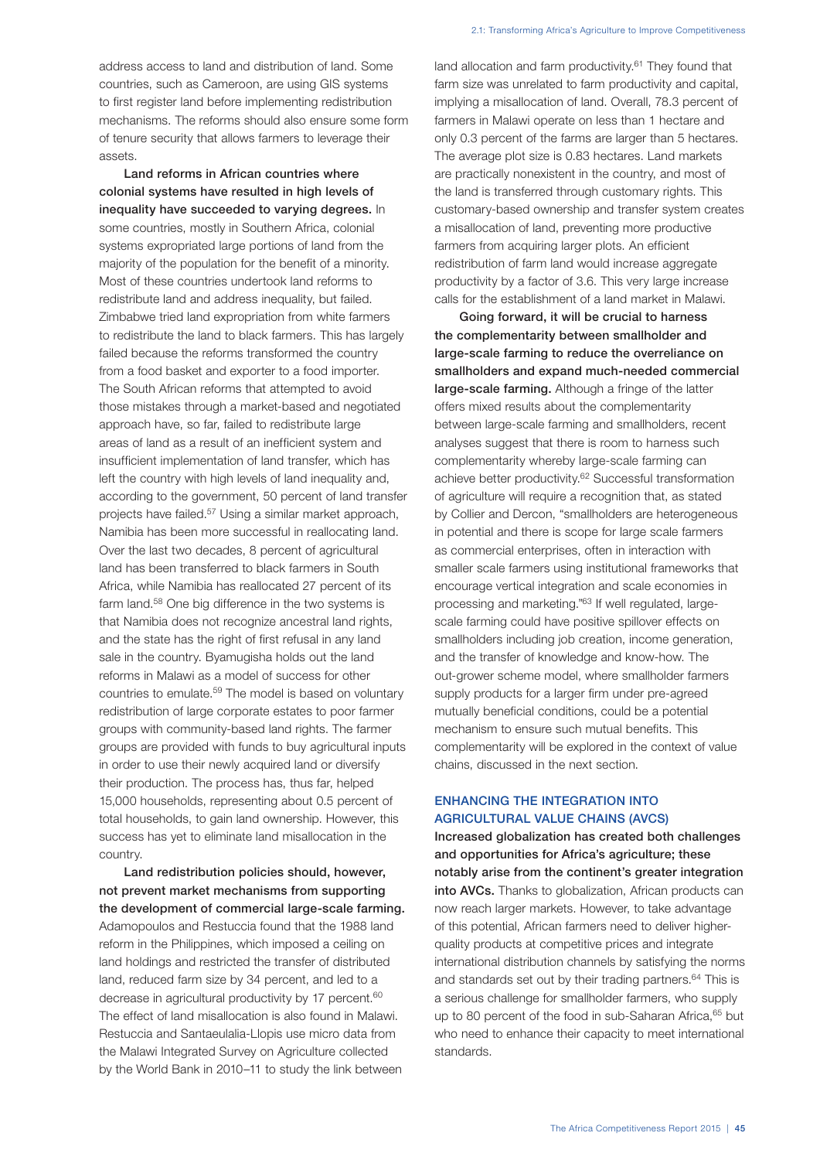address access to land and distribution of land. Some countries, such as Cameroon, are using GIS systems to first register land before implementing redistribution mechanisms. The reforms should also ensure some form of tenure security that allows farmers to leverage their assets.

Land reforms in African countries where colonial systems have resulted in high levels of inequality have succeeded to varying degrees. In some countries, mostly in Southern Africa, colonial systems expropriated large portions of land from the majority of the population for the benefit of a minority. Most of these countries undertook land reforms to redistribute land and address inequality, but failed. Zimbabwe tried land expropriation from white farmers to redistribute the land to black farmers. This has largely failed because the reforms transformed the country from a food basket and exporter to a food importer. The South African reforms that attempted to avoid those mistakes through a market-based and negotiated approach have, so far, failed to redistribute large areas of land as a result of an inefficient system and insufficient implementation of land transfer, which has left the country with high levels of land inequality and, according to the government, 50 percent of land transfer projects have failed.57 Using a similar market approach, Namibia has been more successful in reallocating land. Over the last two decades, 8 percent of agricultural land has been transferred to black farmers in South Africa, while Namibia has reallocated 27 percent of its farm land.<sup>58</sup> One big difference in the two systems is that Namibia does not recognize ancestral land rights, and the state has the right of first refusal in any land sale in the country. Byamugisha holds out the land reforms in Malawi as a model of success for other countries to emulate.59 The model is based on voluntary redistribution of large corporate estates to poor farmer groups with community-based land rights. The farmer groups are provided with funds to buy agricultural inputs in order to use their newly acquired land or diversify their production. The process has, thus far, helped 15,000 households, representing about 0.5 percent of total households, to gain land ownership. However, this success has yet to eliminate land misallocation in the country.

Land redistribution policies should, however, not prevent market mechanisms from supporting the development of commercial large-scale farming. Adamopoulos and Restuccia found that the 1988 land reform in the Philippines, which imposed a ceiling on land holdings and restricted the transfer of distributed land, reduced farm size by 34 percent, and led to a decrease in agricultural productivity by 17 percent.<sup>60</sup> The effect of land misallocation is also found in Malawi. Restuccia and Santaeulalia-Llopis use micro data from the Malawi Integrated Survey on Agriculture collected by the World Bank in 2010–11 to study the link between

land allocation and farm productivity. $61$  They found that farm size was unrelated to farm productivity and capital, implying a misallocation of land. Overall, 78.3 percent of farmers in Malawi operate on less than 1 hectare and only 0.3 percent of the farms are larger than 5 hectares. The average plot size is 0.83 hectares. Land markets are practically nonexistent in the country, and most of the land is transferred through customary rights. This customary-based ownership and transfer system creates a misallocation of land, preventing more productive farmers from acquiring larger plots. An efficient redistribution of farm land would increase aggregate productivity by a factor of 3.6. This very large increase calls for the establishment of a land market in Malawi.

Going forward, it will be crucial to harness the complementarity between smallholder and large-scale farming to reduce the overreliance on smallholders and expand much-needed commercial large-scale farming. Although a fringe of the latter offers mixed results about the complementarity between large-scale farming and smallholders, recent analyses suggest that there is room to harness such complementarity whereby large-scale farming can achieve better productivity.<sup>62</sup> Successful transformation of agriculture will require a recognition that, as stated by Collier and Dercon, "smallholders are heterogeneous in potential and there is scope for large scale farmers as commercial enterprises, often in interaction with smaller scale farmers using institutional frameworks that encourage vertical integration and scale economies in processing and marketing."63 If well regulated, largescale farming could have positive spillover effects on smallholders including job creation, income generation, and the transfer of knowledge and know-how. The out-grower scheme model, where smallholder farmers supply products for a larger firm under pre-agreed mutually beneficial conditions, could be a potential mechanism to ensure such mutual benefits. This complementarity will be explored in the context of value chains, discussed in the next section.

# ENHANCING THE INTEGRATION INTO AGRICULTURAL VALUE CHAINS (AVCS)

Increased globalization has created both challenges and opportunities for Africa's agriculture; these notably arise from the continent's greater integration into AVCs. Thanks to globalization. African products can now reach larger markets. However, to take advantage of this potential, African farmers need to deliver higherquality products at competitive prices and integrate international distribution channels by satisfying the norms and standards set out by their trading partners.<sup>64</sup> This is a serious challenge for smallholder farmers, who supply up to 80 percent of the food in sub-Saharan Africa, 65 but who need to enhance their capacity to meet international standards.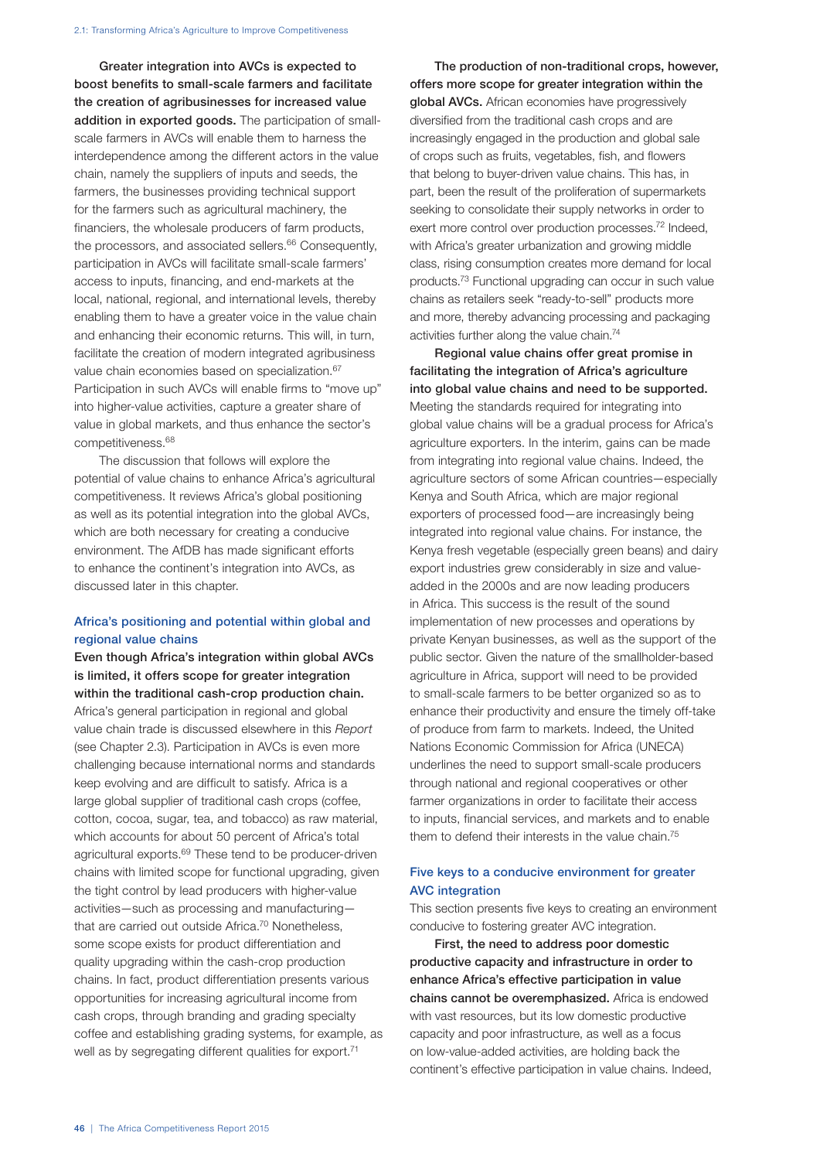Greater integration into AVCs is expected to boost benefits to small-scale farmers and facilitate the creation of agribusinesses for increased value addition in exported goods. The participation of smallscale farmers in AVCs will enable them to harness the interdependence among the different actors in the value chain, namely the suppliers of inputs and seeds, the farmers, the businesses providing technical support for the farmers such as agricultural machinery, the financiers, the wholesale producers of farm products, the processors, and associated sellers.<sup>66</sup> Consequently, participation in AVCs will facilitate small-scale farmers' access to inputs, financing, and end-markets at the local, national, regional, and international levels, thereby enabling them to have a greater voice in the value chain and enhancing their economic returns. This will, in turn, facilitate the creation of modern integrated agribusiness value chain economies based on specialization.<sup>67</sup> Participation in such AVCs will enable firms to "move up" into higher-value activities, capture a greater share of value in global markets, and thus enhance the sector's competitiveness.68

The discussion that follows will explore the potential of value chains to enhance Africa's agricultural competitiveness. It reviews Africa's global positioning as well as its potential integration into the global AVCs, which are both necessary for creating a conducive environment. The AfDB has made significant efforts to enhance the continent's integration into AVCs, as discussed later in this chapter.

# Africa's positioning and potential within global and regional value chains

Even though Africa's integration within global AVCs is limited, it offers scope for greater integration within the traditional cash-crop production chain. Africa's general participation in regional and global value chain trade is discussed elsewhere in this *Report* (see Chapter 2.3). Participation in AVCs is even more challenging because international norms and standards keep evolving and are difficult to satisfy. Africa is a large global supplier of traditional cash crops (coffee, cotton, cocoa, sugar, tea, and tobacco) as raw material, which accounts for about 50 percent of Africa's total agricultural exports.<sup>69</sup> These tend to be producer-driven chains with limited scope for functional upgrading, given the tight control by lead producers with higher-value activities—such as processing and manufacturing that are carried out outside Africa.<sup>70</sup> Nonetheless, some scope exists for product differentiation and quality upgrading within the cash-crop production chains. In fact, product differentiation presents various opportunities for increasing agricultural income from cash crops, through branding and grading specialty coffee and establishing grading systems, for example, as well as by segregating different qualities for export.<sup>71</sup>

The production of non-traditional crops, however, offers more scope for greater integration within the global AVCs. African economies have progressively diversified from the traditional cash crops and are increasingly engaged in the production and global sale of crops such as fruits, vegetables, fish, and flowers that belong to buyer-driven value chains. This has, in part, been the result of the proliferation of supermarkets seeking to consolidate their supply networks in order to exert more control over production processes.<sup>72</sup> Indeed, with Africa's greater urbanization and growing middle class, rising consumption creates more demand for local products.73 Functional upgrading can occur in such value chains as retailers seek "ready-to-sell" products more and more, thereby advancing processing and packaging activities further along the value chain.74

Regional value chains offer great promise in facilitating the integration of Africa's agriculture into global value chains and need to be supported. Meeting the standards required for integrating into global value chains will be a gradual process for Africa's agriculture exporters. In the interim, gains can be made from integrating into regional value chains. Indeed, the agriculture sectors of some African countries—especially Kenya and South Africa, which are major regional exporters of processed food—are increasingly being integrated into regional value chains. For instance, the Kenya fresh vegetable (especially green beans) and dairy export industries grew considerably in size and valueadded in the 2000s and are now leading producers in Africa. This success is the result of the sound implementation of new processes and operations by private Kenyan businesses, as well as the support of the public sector. Given the nature of the smallholder-based agriculture in Africa, support will need to be provided to small-scale farmers to be better organized so as to enhance their productivity and ensure the timely off-take of produce from farm to markets. Indeed, the United Nations Economic Commission for Africa (UNECA) underlines the need to support small-scale producers through national and regional cooperatives or other farmer organizations in order to facilitate their access to inputs, financial services, and markets and to enable them to defend their interests in the value chain.<sup>75</sup>

# Five keys to a conducive environment for greater AVC integration

This section presents five keys to creating an environment conducive to fostering greater AVC integration.

First, the need to address poor domestic productive capacity and infrastructure in order to enhance Africa's effective participation in value chains cannot be overemphasized. Africa is endowed with vast resources, but its low domestic productive capacity and poor infrastructure, as well as a focus on low-value-added activities, are holding back the continent's effective participation in value chains. Indeed,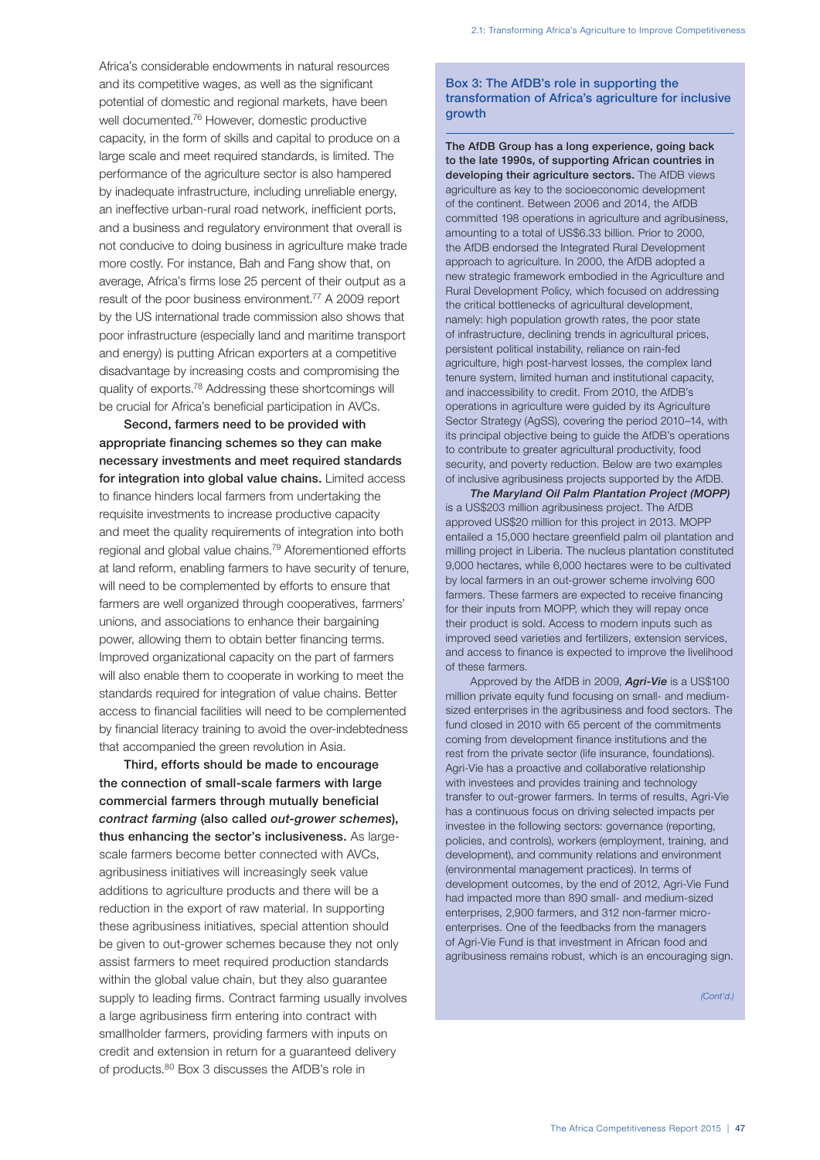Africa's considerable endowments in natural resources and its competitive wages, as well as the significant potential of domestic and regional markets, have been well documented.76 However, domestic productive capacity, in the form of skills and capital to produce on a large scale and meet required standards, is limited. The performance of the agriculture sector is also hampered by inadequate infrastructure, including unreliable energy, an ineffective urban-rural road network, inefficient ports, and a business and regulatory environment that overall is not conducive to doing business in agriculture make trade more costly. For instance, Bah and Fang show that, on average, Africa's firms lose 25 percent of their output as a result of the poor business environment.77 A 2009 report by the US international trade commission also shows that poor infrastructure (especially land and maritime transport and energy) is putting African exporters at a competitive disadvantage by increasing costs and compromising the quality of exports.78 Addressing these shortcomings will be crucial for Africa's beneficial participation in AVCs.

Second, farmers need to be provided with appropriate financing schemes so they can make necessary investments and meet required standards for integration into global value chains. Limited access to finance hinders local farmers from undertaking the requisite investments to increase productive capacity and meet the quality requirements of integration into both regional and global value chains.79 Aforementioned efforts at land reform, enabling farmers to have security of tenure, will need to be complemented by efforts to ensure that farmers are well organized through cooperatives, farmers' unions, and associations to enhance their bargaining power, allowing them to obtain better financing terms. Improved organizational capacity on the part of farmers will also enable them to cooperate in working to meet the standards required for integration of value chains. Better access to financial facilities will need to be complemented by financial literacy training to avoid the over-indebtedness that accompanied the green revolution in Asia.

Third, efforts should be made to encourage the connection of small-scale farmers with large commercial farmers through mutually beneficial *contract farming* (also called *out-grower schemes*), thus enhancing the sector's inclusiveness. As largescale farmers become better connected with AVCs, agribusiness initiatives will increasingly seek value additions to agriculture products and there will be a reduction in the export of raw material. In supporting these agribusiness initiatives, special attention should be given to out-grower schemes because they not only assist farmers to meet required production standards within the global value chain, but they also guarantee supply to leading firms. Contract farming usually involves a large agribusiness firm entering into contract with smallholder farmers, providing farmers with inputs on credit and extension in return for a guaranteed delivery of products.80 Box 3 discusses the AfDB's role in

## Box 3: The AfDB's role in supporting the transformation of Africa's agriculture for inclusive growth

The AfDB Group has a long experience, going back to the late 1990s, of supporting African countries in developing their agriculture sectors. The AfDB views agriculture as key to the socioeconomic development of the continent. Between 2006 and 2014, the AfDB committed 198 operations in agriculture and agribusiness, amounting to a total of US\$6.33 billion. Prior to 2000, the AfDB endorsed the Integrated Rural Development approach to agriculture. In 2000, the AfDB adopted a new strategic framework embodied in the Agriculture and Rural Development Policy, which focused on addressing the critical bottlenecks of agricultural development, namely: high population growth rates, the poor state of infrastructure, declining trends in agricultural prices, persistent political instability, reliance on rain-fed agriculture, high post-harvest losses, the complex land tenure system, limited human and institutional capacity, and inaccessibility to credit. From 2010, the AfDB's operations in agriculture were guided by its Agriculture Sector Strategy (AgSS), covering the period 2010–14, with its principal objective being to guide the AfDB's operations to contribute to greater agricultural productivity, food security, and poverty reduction. Below are two examples of inclusive agribusiness projects supported by the AfDB.

*The Maryland Oil Palm Plantation Project (MOPP)* is a US\$203 million agribusiness project. The AfDB approved US\$20 million for this project in 2013. MOPP entailed a 15,000 hectare greenfield palm oil plantation and milling project in Liberia. The nucleus plantation constituted 9,000 hectares, while 6,000 hectares were to be cultivated by local farmers in an out-grower scheme involving 600 farmers. These farmers are expected to receive financing for their inputs from MOPP, which they will repay once their product is sold. Access to modern inputs such as improved seed varieties and fertilizers, extension services, and access to finance is expected to improve the livelihood of these farmers.

Approved by the AfDB in 2009, *Agri-Vie* is a US\$100 million private equity fund focusing on small- and mediumsized enterprises in the agribusiness and food sectors. The fund closed in 2010 with 65 percent of the commitments coming from development finance institutions and the rest from the private sector (life insurance, foundations). Agri-Vie has a proactive and collaborative relationship with investees and provides training and technology transfer to out-grower farmers. In terms of results, Agri-Vie has a continuous focus on driving selected impacts per investee in the following sectors: governance (reporting, policies, and controls), workers (employment, training, and development), and community relations and environment (environmental management practices). In terms of development outcomes, by the end of 2012, Agri-Vie Fund had impacted more than 890 small- and medium-sized enterprises, 2,900 farmers, and 312 non-farmer microenterprises. One of the feedbacks from the managers of Agri-Vie Fund is that investment in African food and agribusiness remains robust, which is an encouraging sign.

*(Cont'd.)*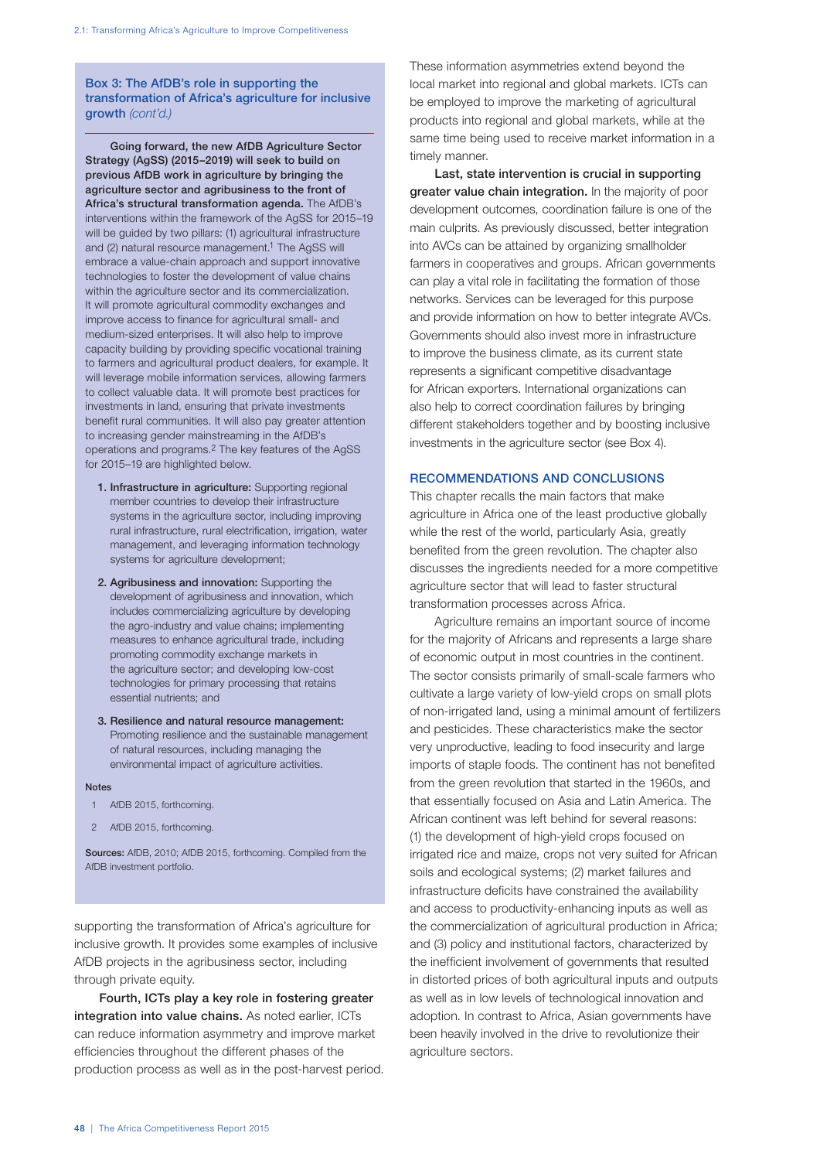## Box 3: The AfDB's role in supporting the transformation of Africa's agriculture for inclusive growth *(cont'd.)*

Going forward, the new AfDB Agriculture Sector Strategy (AgSS) (2015–2019) will seek to build on previous AfDB work in agriculture by bringing the agriculture sector and agribusiness to the front of Africa's structural transformation agenda. The AfDB's interventions within the framework of the AgSS for 2015–19 will be guided by two pillars: (1) agricultural infrastructure and (2) natural resource management.<sup>1</sup> The AgSS will embrace a value-chain approach and support innovative technologies to foster the development of value chains within the agriculture sector and its commercialization. It will promote agricultural commodity exchanges and improve access to finance for agricultural small- and medium-sized enterprises. It will also help to improve capacity building by providing specific vocational training to farmers and agricultural product dealers, for example. It will leverage mobile information services, allowing farmers to collect valuable data. It will promote best practices for investments in land, ensuring that private investments benefit rural communities. It will also pay greater attention to increasing gender mainstreaming in the AfDB's operations and programs.2 The key features of the AgSS for 2015–19 are highlighted below.

- 1. Infrastructure in agriculture: Supporting regional member countries to develop their infrastructure systems in the agriculture sector, including improving rural infrastructure, rural electrification, irrigation, water management, and leveraging information technology systems for agriculture development;
- 2. Agribusiness and innovation: Supporting the development of agribusiness and innovation, which includes commercializing agriculture by developing the agro-industry and value chains; implementing measures to enhance agricultural trade, including promoting commodity exchange markets in the agriculture sector; and developing low-cost technologies for primary processing that retains essential nutrients; and
- 3. Resilience and natural resource management: Promoting resilience and the sustainable management of natural resources, including managing the environmental impact of agriculture activities.

#### **Notes**

- 1 AfDB 2015, forthcoming.
- 2 AfDB 2015, forthcoming.

Sources: AfDB, 2010; AfDB 2015, forthcoming. Compiled from the AfDB investment portfolio.

supporting the transformation of Africa's agriculture for inclusive growth. It provides some examples of inclusive AfDB projects in the agribusiness sector, including through private equity.

Fourth, ICTs play a key role in fostering greater integration into value chains. As noted earlier, ICTs can reduce information asymmetry and improve market efficiencies throughout the different phases of the production process as well as in the post-harvest period. These information asymmetries extend beyond the local market into regional and global markets. ICTs can be employed to improve the marketing of agricultural products into regional and global markets, while at the same time being used to receive market information in a timely manner.

Last, state intervention is crucial in supporting greater value chain integration. In the majority of poor development outcomes, coordination failure is one of the main culprits. As previously discussed, better integration into AVCs can be attained by organizing smallholder farmers in cooperatives and groups. African governments can play a vital role in facilitating the formation of those networks. Services can be leveraged for this purpose and provide information on how to better integrate AVCs. Governments should also invest more in infrastructure to improve the business climate, as its current state represents a significant competitive disadvantage for African exporters. International organizations can also help to correct coordination failures by bringing different stakeholders together and by boosting inclusive investments in the agriculture sector (see Box 4).

## RECOMMENDATIONS AND CONCLUSIONS

This chapter recalls the main factors that make agriculture in Africa one of the least productive globally while the rest of the world, particularly Asia, greatly benefited from the green revolution. The chapter also discusses the ingredients needed for a more competitive agriculture sector that will lead to faster structural transformation processes across Africa.

Agriculture remains an important source of income for the majority of Africans and represents a large share of economic output in most countries in the continent. The sector consists primarily of small-scale farmers who cultivate a large variety of low-yield crops on small plots of non-irrigated land, using a minimal amount of fertilizers and pesticides. These characteristics make the sector very unproductive, leading to food insecurity and large imports of staple foods. The continent has not benefited from the green revolution that started in the 1960s, and that essentially focused on Asia and Latin America. The African continent was left behind for several reasons: (1) the development of high-yield crops focused on irrigated rice and maize, crops not very suited for African soils and ecological systems; (2) market failures and infrastructure deficits have constrained the availability and access to productivity-enhancing inputs as well as the commercialization of agricultural production in Africa; and (3) policy and institutional factors, characterized by the inefficient involvement of governments that resulted in distorted prices of both agricultural inputs and outputs as well as in low levels of technological innovation and adoption. In contrast to Africa, Asian governments have been heavily involved in the drive to revolutionize their agriculture sectors.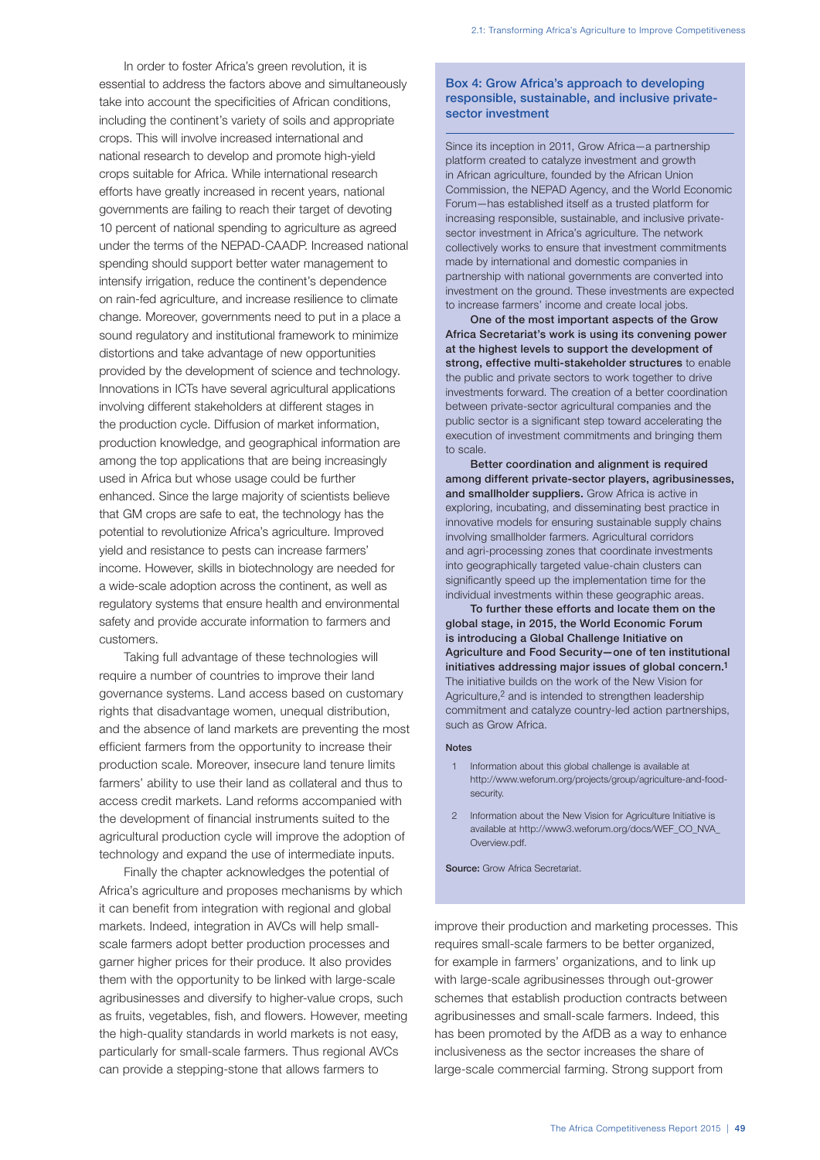In order to foster Africa's green revolution, it is essential to address the factors above and simultaneously take into account the specificities of African conditions, including the continent's variety of soils and appropriate crops. This will involve increased international and national research to develop and promote high-yield crops suitable for Africa. While international research efforts have greatly increased in recent years, national governments are failing to reach their target of devoting 10 percent of national spending to agriculture as agreed under the terms of the NEPAD-CAADP. Increased national spending should support better water management to intensify irrigation, reduce the continent's dependence on rain-fed agriculture, and increase resilience to climate change. Moreover, governments need to put in a place a sound regulatory and institutional framework to minimize distortions and take advantage of new opportunities provided by the development of science and technology. Innovations in ICTs have several agricultural applications involving different stakeholders at different stages in the production cycle. Diffusion of market information, production knowledge, and geographical information are among the top applications that are being increasingly used in Africa but whose usage could be further enhanced. Since the large majority of scientists believe that GM crops are safe to eat, the technology has the potential to revolutionize Africa's agriculture. Improved yield and resistance to pests can increase farmers' income. However, skills in biotechnology are needed for a wide-scale adoption across the continent, as well as regulatory systems that ensure health and environmental safety and provide accurate information to farmers and customers.

Taking full advantage of these technologies will require a number of countries to improve their land governance systems. Land access based on customary rights that disadvantage women, unequal distribution, and the absence of land markets are preventing the most efficient farmers from the opportunity to increase their production scale. Moreover, insecure land tenure limits farmers' ability to use their land as collateral and thus to access credit markets. Land reforms accompanied with the development of financial instruments suited to the agricultural production cycle will improve the adoption of technology and expand the use of intermediate inputs.

Finally the chapter acknowledges the potential of Africa's agriculture and proposes mechanisms by which it can benefit from integration with regional and global markets. Indeed, integration in AVCs will help smallscale farmers adopt better production processes and garner higher prices for their produce. It also provides them with the opportunity to be linked with large-scale agribusinesses and diversify to higher-value crops, such as fruits, vegetables, fish, and flowers. However, meeting the high-quality standards in world markets is not easy, particularly for small-scale farmers. Thus regional AVCs can provide a stepping-stone that allows farmers to

## Box 4: Grow Africa's approach to developing responsible, sustainable, and inclusive privatesector investment

Since its inception in 2011, Grow Africa—a partnership platform created to catalyze investment and growth in African agriculture, founded by the African Union Commission, the NEPAD Agency, and the World Economic Forum—has established itself as a trusted platform for increasing responsible, sustainable, and inclusive privatesector investment in Africa's agriculture. The network collectively works to ensure that investment commitments made by international and domestic companies in partnership with national governments are converted into investment on the ground. These investments are expected to increase farmers' income and create local jobs.

One of the most important aspects of the Grow Africa Secretariat's work is using its convening power at the highest levels to support the development of strong, effective multi-stakeholder structures to enable the public and private sectors to work together to drive investments forward. The creation of a better coordination between private-sector agricultural companies and the public sector is a significant step toward accelerating the execution of investment commitments and bringing them to scale.

Better coordination and alignment is required among different private-sector players, agribusinesses, and smallholder suppliers. Grow Africa is active in exploring, incubating, and disseminating best practice in innovative models for ensuring sustainable supply chains involving smallholder farmers. Agricultural corridors and agri-processing zones that coordinate investments into geographically targeted value-chain clusters can significantly speed up the implementation time for the individual investments within these geographic areas.

To further these efforts and locate them on the global stage, in 2015, the World Economic Forum is introducing a Global Challenge Initiative on Agriculture and Food Security—one of ten institutional initiatives addressing major issues of global concern.1 The initiative builds on the work of the New Vision for Agriculture,<sup>2</sup> and is intended to strengthen leadership commitment and catalyze country-led action partnerships, such as Grow Africa.

#### Notes

- 1 Information about this global challenge is available at http://www.weforum.org/projects/group/agriculture-and-foodsecurity.
- 2 Information about the New Vision for Agriculture Initiative is available at http://www3.weforum.org/docs/WEF\_CO\_NVA\_ Overview.pdf.

Source: Grow Africa Secretariat.

improve their production and marketing processes. This requires small-scale farmers to be better organized, for example in farmers' organizations, and to link up with large-scale agribusinesses through out-grower schemes that establish production contracts between agribusinesses and small-scale farmers. Indeed, this has been promoted by the AfDB as a way to enhance inclusiveness as the sector increases the share of large-scale commercial farming. Strong support from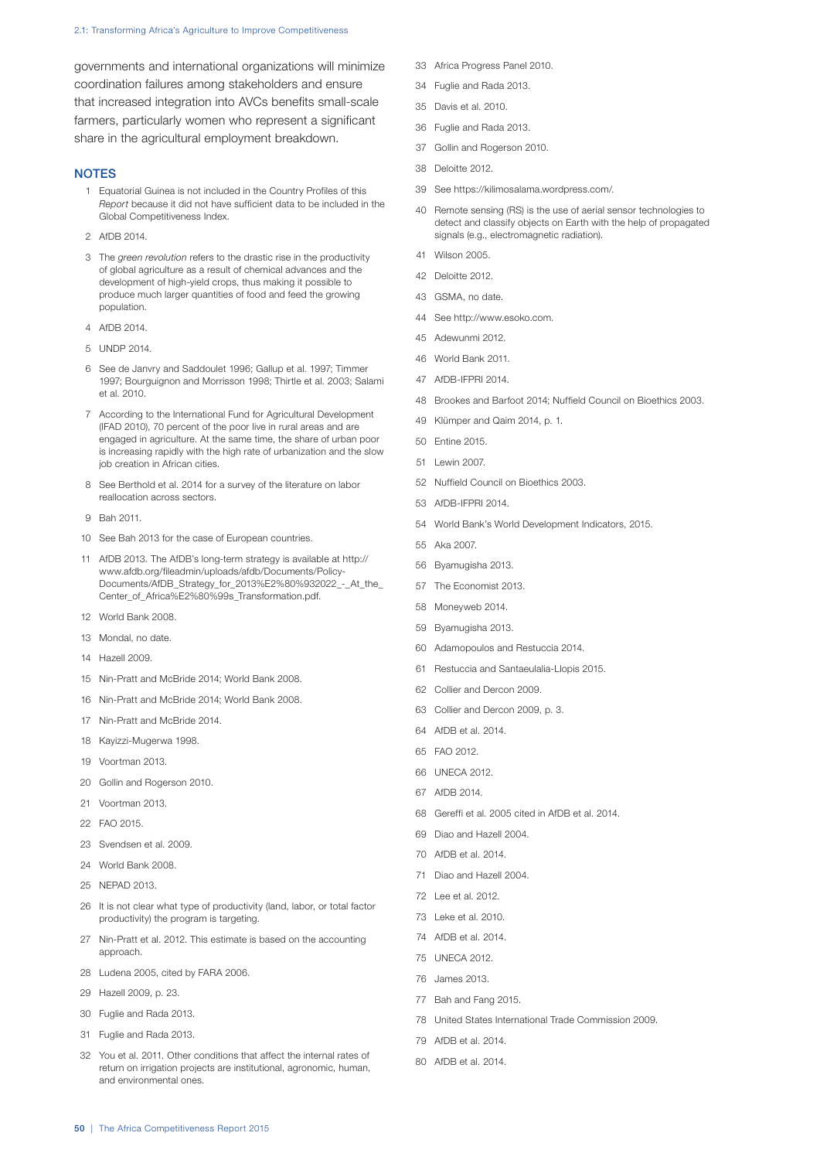#### 2.1: Transforming Africa's Agriculture to Improve Competitiveness

governments and international organizations will minimize coordination failures among stakeholders and ensure that increased integration into AVCs benefits small-scale farmers, particularly women who represent a significant share in the agricultural employment breakdown.

#### **NOTES**

- Equatorial Guinea is not included in the Country Profiles of this *Report* because it did not have sufficient data to be included in the Global Competitiveness Index.
- AfDB 2014.
- The *green revolution* refers to the drastic rise in the productivity of global agriculture as a result of chemical advances and the development of high-yield crops, thus making it possible to produce much larger quantities of food and feed the growing population.
- AfDB 2014.
- UNDP 2014.
- See de Janvry and Saddoulet 1996; Gallup et al. 1997; Timmer 1997; Bourguignon and Morrisson 1998; Thirtle et al. 2003; Salami et al. 2010.
- According to the International Fund for Agricultural Development (IFAD 2010), 70 percent of the poor live in rural areas and are engaged in agriculture. At the same time, the share of urban poor is increasing rapidly with the high rate of urbanization and the slow job creation in African cities.
- See Berthold et al. 2014 for a survey of the literature on labor reallocation across sectors.
- Bah 2011.
- See Bah 2013 for the case of European countries.
- AfDB 2013. The AfDB's long-term strategy is available at http:// www.afdb.org/fileadmin/uploads/afdb/Documents/Policy-Documents/AfDB\_Strategy\_for\_2013%E2%80%932022\_-\_At\_the\_ Center\_of\_Africa%E2%80%99s\_Transformation.pdf.
- World Bank 2008.
- Mondal, no date.
- Hazell 2009.
- Nin-Pratt and McBride 2014; World Bank 2008.
- Nin-Pratt and McBride 2014; World Bank 2008.
- Nin-Pratt and McBride 2014.
- Kayizzi-Mugerwa 1998.
- Voortman 2013.
- Gollin and Rogerson 2010.
- Voortman 2013.
- FAO 2015.
- Svendsen et al. 2009.
- World Bank 2008.
- NEPAD 2013.
- It is not clear what type of productivity (land, labor, or total factor productivity) the program is targeting.
- Nin-Pratt et al. 2012. This estimate is based on the accounting approach.
- Ludena 2005, cited by FARA 2006.
- Hazell 2009, p. 23.
- Fuglie and Rada 2013.
- Fuglie and Rada 2013.
- You et al. 2011. Other conditions that affect the internal rates of return on irrigation projects are institutional, agronomic, human, and environmental ones.
- Africa Progress Panel 2010.
- Fuglie and Rada 2013.
- Davis et al. 2010.
- Fuglie and Rada 2013.
- Gollin and Rogerson 2010.
- Deloitte 2012.
- See https://kilimosalama.wordpress.com/.
- Remote sensing (RS) is the use of aerial sensor technologies to detect and classify objects on Earth with the help of propagated signals (e.g., electromagnetic radiation).
- Wilson 2005.
- Deloitte 2012.
- GSMA, no date.
- See http://www.esoko.com.
- Adewunmi 2012.
- World Bank 2011.
- AfDB-IFPRI 2014.
- Brookes and Barfoot 2014; Nuffield Council on Bioethics 2003.
- Klümper and Qaim 2014, p. 1.
- Entine 2015.
- Lewin 2007.
- Nuffield Council on Bioethics 2003.
- AfDB-IFPRI 2014.
- World Bank's World Development Indicators, 2015.
- Aka 2007.
- Byamugisha 2013.
- The Economist 2013.
- Moneyweb 2014.
- Byamugisha 2013.
- Adamopoulos and Restuccia 2014.
- Restuccia and Santaeulalia-Llopis 2015.
- Collier and Dercon 2009.
- Collier and Dercon 2009, p. 3.
- AfDB et al. 2014.
- FAO 2012.
- UNECA 2012.
- AfDB 2014.
- Gereffi et al. 2005 cited in AfDB et al. 2014.
- Diao and Hazell 2004.
- AfDB et al. 2014.
- Diao and Hazell 2004.
- Lee et al. 2012.
- Leke et al. 2010.
- AfDB et al. 2014.
- UNECA 2012.
- James 2013.
- Bah and Fang 2015.
- United States International Trade Commission 2009.
- AfDB et al. 2014.
- AfDB et al. 2014.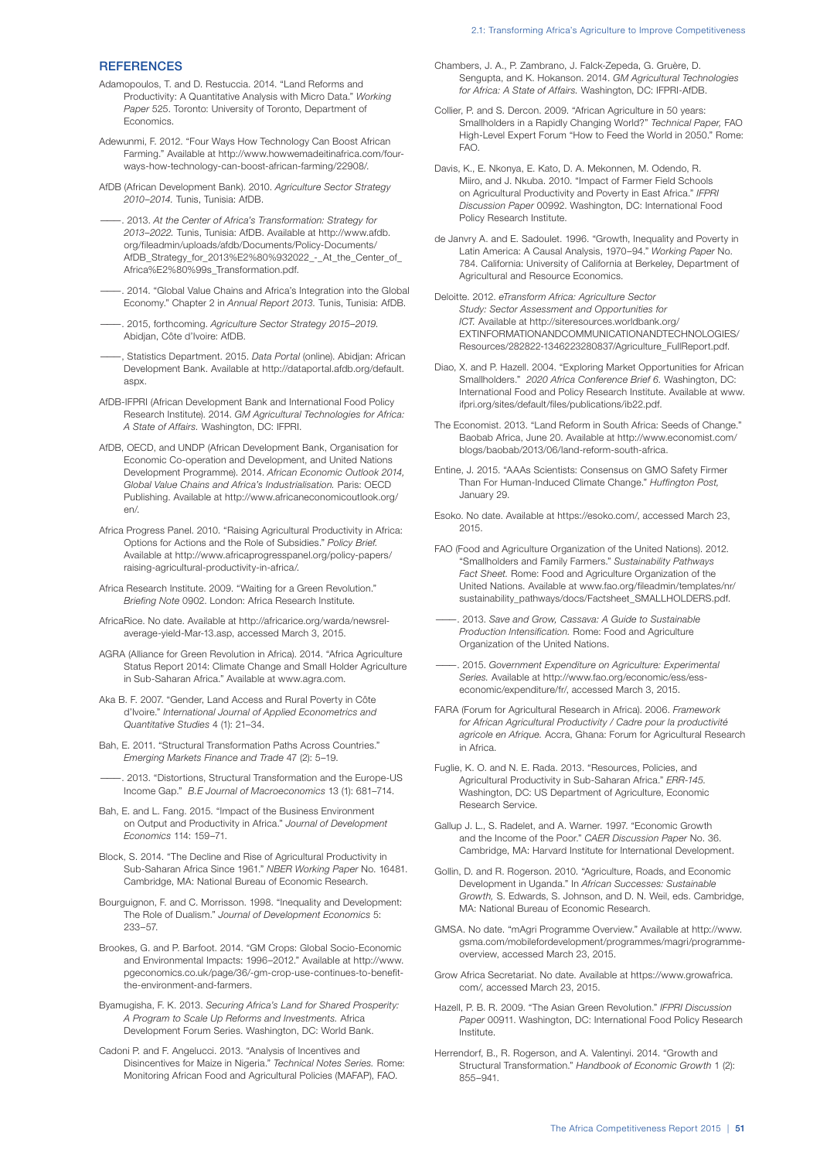## **REFERENCES**

- Adamopoulos, T. and D. Restuccia. 2014. "Land Reforms and Productivity: A Quantitative Analysis with Micro Data." *Working Paper* 525. Toronto: University of Toronto, Department of **Economics**
- Adewunmi, F. 2012. "Four Ways How Technology Can Boost African Farming." Available at http://www.howwemadeitinafrica.com/fourways-how-technology-can-boost-african-farming/22908/.
- AfDB (African Development Bank). 2010. *Agriculture Sector Strategy 2010–2014.* Tunis, Tunisia: AfDB.
- ———. 2013. *At the Center of Africa's Transformation: Strategy for 2013–2022.* Tunis, Tunisia: AfDB. Available at http://www.afdb. org/fileadmin/uploads/afdb/Documents/Policy-Documents/ AfDB\_Strategy\_for\_2013%E2%80%932022\_-\_At\_the\_Center\_of\_ Africa%E2%80%99s\_Transformation.pdf.
- -. 2014. "Global Value Chains and Africa's Integration into the Global Economy." Chapter 2 in *Annual Report 2013.* Tunis, Tunisia: AfDB.
- ———. 2015, forthcoming. *Agriculture Sector Strategy 2015–2019.* Abidjan, Côte d'Ivoire: AfDB.
- ———, Statistics Department. 2015. *Data Portal* (online). Abidjan: African Development Bank. Available at http://dataportal.afdb.org/default. aspx.
- AfDB-IFPRI (African Development Bank and International Food Policy Research Institute). 2014. *GM Agricultural Technologies for Africa: A State of Affairs.* Washington, DC: IFPRI.
- AfDB, OECD, and UNDP (African Development Bank, Organisation for Economic Co-operation and Development, and United Nations Development Programme). 2014. *African Economic Outlook 2014, Global Value Chains and Africa's Industrialisation.* Paris: OECD Publishing. Available at http://www.africaneconomicoutlook.org/ en/.
- Africa Progress Panel. 2010. "Raising Agricultural Productivity in Africa: Options for Actions and the Role of Subsidies." *Policy Brief.* Available at http://www.africaprogresspanel.org/policy-papers/ raising-agricultural-productivity-in-africa/.
- Africa Research Institute. 2009. "Waiting for a Green Revolution." *Briefing Note* 0902. London: Africa Research Institute.
- AfricaRice. No date. Available at http://africarice.org/warda/newsrelaverage-yield-Mar-13.asp, accessed March 3, 2015.
- AGRA (Alliance for Green Revolution in Africa). 2014. "Africa Agriculture Status Report 2014: Climate Change and Small Holder Agriculture in Sub-Saharan Africa." Available at www.agra.com.
- Aka B. F. 2007. "Gender, Land Access and Rural Poverty in Côte d'Ivoire." *International Journal of Applied Econometrics and Quantitative Studies* 4 (1): 21–34.
- Bah, E. 2011. "Structural Transformation Paths Across Countries." *Emerging Markets Finance and Trade* 47 (2): 5–19.
- ———. 2013. "Distortions, Structural Transformation and the Europe-US Income Gap." *B.E Journal of Macroeconomics* 13 (1): 681–714.
- Bah, E. and L. Fang. 2015. "Impact of the Business Environment on Output and Productivity in Africa." *Journal of Development Economics* 114: 159–71.
- Block, S. 2014. "The Decline and Rise of Agricultural Productivity in Sub-Saharan Africa Since 1961." *NBER Working Paper* No. 16481. Cambridge, MA: National Bureau of Economic Research.
- Bourguignon, F. and C. Morrisson. 1998. "Inequality and Development: The Role of Dualism." *Journal of Development Economics* 5: 233–57.
- Brookes, G. and P. Barfoot. 2014. "GM Crops: Global Socio-Economic and Environmental Impacts: 1996–2012." Available at http://www. pgeconomics.co.uk/page/36/-gm-crop-use-continues-to-benefitthe-environment-and-farmers.
- Byamugisha, F. K. 2013. *Securing Africa's Land for Shared Prosperity: A Program to Scale Up Reforms and Investments.* Africa Development Forum Series. Washington, DC: World Bank.
- Cadoni P. and F. Angelucci. 2013. "Analysis of Incentives and Disincentives for Maize in Nigeria." *Technical Notes Series.* Rome: Monitoring African Food and Agricultural Policies (MAFAP), FAO.
- Chambers, J. A., P. Zambrano, J. Falck-Zepeda, G. Gruère, D. Sengupta, and K. Hokanson. 2014. *GM Agricultural Technologies for Africa: A State of Affairs.* Washington, DC: IFPRI-AfDB.
- Collier, P. and S. Dercon. 2009. "African Agriculture in 50 years: Smallholders in a Rapidly Changing World?" *Technical Paper,* FAO High-Level Expert Forum "How to Feed the World in 2050." Rome: FAO.
- Davis, K., E. Nkonya, E. Kato, D. A. Mekonnen, M. Odendo, R. Miiro, and J. Nkuba. 2010. "Impact of Farmer Field Schools on Agricultural Productivity and Poverty in East Africa." *IFPRI Discussion Paper* 00992. Washington, DC: International Food Policy Research Institute.
- de Janvry A. and E. Sadoulet. 1996. "Growth, Inequality and Poverty in Latin America: A Causal Analysis, 1970–94." *Working Paper* No. 784. California: University of California at Berkeley, Department of Agricultural and Resource Economics.
- Deloitte. 2012. *eTransform Africa: Agriculture Sector Study: Sector Assessment and Opportunities for ICT.* Available at http://siteresources.worldbank.org/ EXTINFORMATIONANDCOMMUNICATIONANDTECHNOLOGIES/ Resources/282822-1346223280837/Agriculture\_FullReport.pdf.
- Diao, X. and P. Hazell. 2004. "Exploring Market Opportunities for African Smallholders." *2020 Africa Conference Brief 6.* Washington, DC: International Food and Policy Research Institute. Available at www. ifpri.org/sites/default/files/publications/ib22.pdf.
- The Economist. 2013. "Land Reform in South Africa: Seeds of Change." Baobab Africa, June 20. Available at http://www.economist.com/ blogs/baobab/2013/06/land-reform-south-africa.
- Entine, J. 2015. "AAAs Scientists: Consensus on GMO Safety Firmer Than For Human-Induced Climate Change." *Huffington Post,* January 29.
- Esoko. No date. Available at https://esoko.com/, accessed March 23, 2015.
- FAO (Food and Agriculture Organization of the United Nations). 2012. "Smallholders and Family Farmers." *Sustainability Pathways Fact Sheet.* Rome: Food and Agriculture Organization of the United Nations. Available at www.fao.org/fileadmin/templates/nr/ sustainability\_pathways/docs/Factsheet\_SMALLHOLDERS.pdf.
- ———. 2013. *Save and Grow, Cassava: A Guide to Sustainable Production Intensification.* Rome: Food and Agriculture Organization of the United Nations.
- ———. 2015. *Government Expenditure on Agriculture: Experimental Series.* Available at http://www.fao.org/economic/ess/esseconomic/expenditure/fr/, accessed March 3, 2015.
- FARA (Forum for Agricultural Research in Africa). 2006. *Framework for African Agricultural Productivity / Cadre pour la productivité agricole en Afrique.* Accra, Ghana: Forum for Agricultural Research in Africa.
- Fuglie, K. O. and N. E. Rada. 2013. "Resources, Policies, and Agricultural Productivity in Sub-Saharan Africa." *ERR-145.* Washington, DC: US Department of Agriculture, Economic Research Service.
- Gallup J. L., S. Radelet, and A. Warner. 1997. "Economic Growth and the Income of the Poor." *CAER Discussion Paper* No. 36. Cambridge, MA: Harvard Institute for International Development.
- Gollin, D. and R. Rogerson. 2010. "Agriculture, Roads, and Economic Development in Uganda." In *African Successes: Sustainable Growth,* S. Edwards, S. Johnson, and D. N. Weil, eds. Cambridge, MA: National Bureau of Economic Research.
- GMSA. No date. "mAgri Programme Overview." Available at http://www. gsma.com/mobilefordevelopment/programmes/magri/programmeoverview, accessed March 23, 2015.
- Grow Africa Secretariat. No date. Available at https://www.growafrica. com/, accessed March 23, 2015.
- Hazell, P. B. R. 2009. "The Asian Green Revolution." *IFPRI Discussion Paper* 00911. Washington, DC: International Food Policy Research Institute.
- Herrendorf, B., R. Rogerson, and A. Valentinyi. 2014. "Growth and Structural Transformation." *Handbook of Economic Growth* 1 (2): 855–941.